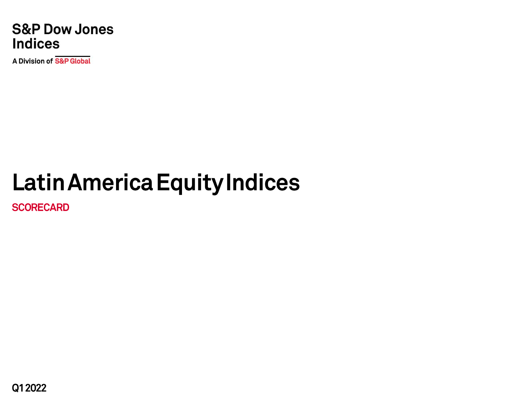**S&P Dow Jones Indices** 

**A Division of S&P Global** 

# **Latin America Equity Indices**

**SCORECARD**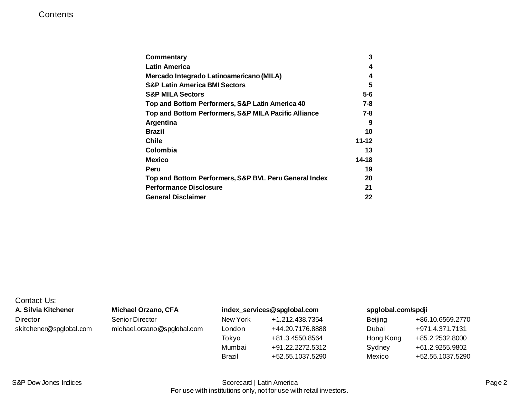| Commentary                                            | 3         |
|-------------------------------------------------------|-----------|
| Latin America                                         | 4         |
| Mercado Integrado Latinoamericano (MILA)              | 4         |
| <b>S&amp;P Latin America BMI Sectors</b>              | 5         |
| <b>S&amp;P MILA Sectors</b>                           | $5-6$     |
| Top and Bottom Performers, S&P Latin America 40       | $7 - 8$   |
| Top and Bottom Performers, S&P MILA Pacific Alliance  | 7-8       |
| Argentina                                             | 9         |
| <b>Brazil</b>                                         | 10        |
| Chile                                                 | $11 - 12$ |
| Colombia                                              | 13        |
| <b>Mexico</b>                                         | 14-18     |
| Peru                                                  | 19        |
| Top and Bottom Performers, S&P BVL Peru General Index | 20        |
| <b>Performance Disclosure</b>                         | 21        |
| <b>General Disclaimer</b>                             | 22        |

| Contact Us:             |
|-------------------------|
| A. Silvia Kitchener     |
| Director                |
| skitchener@spglobal.com |

### **A. Silvia Kitchener Michael Orzano, CFA [index\\_services@spglobal.com](mailto:index_services@spglobal.com) [spglobal.com/spdji](http://spglobal.com/spdji/en?utm_source=pdf_research)**

| Director                | Senior Director             | New York | +1.212.438.7354  | Beijing   | +86.10.6569.2770 |
|-------------------------|-----------------------------|----------|------------------|-----------|------------------|
| skitchener@spglobal.com | michael.orzano@spglobal.com | London   | +44.20.7176.8888 | Dubai     | +971.4.371.7131  |
|                         |                             | Tokyo    | +81.3.4550.8564  | Hong Kong | +85.2.2532.8000  |
|                         |                             | Mumbai   | +91.22.2272.5312 | Sydney    | +61.2.9255.9802  |
|                         |                             | Brazil   | +52.55.1037.5290 | Mexico    | +52.55.1037.5290 |
|                         |                             |          |                  |           |                  |

| eijing   | +86.10.6569.2770 |
|----------|------------------|
| ubai     | +971 4 371 7131  |
| ong Kong | +85.2.2532.8000  |
| ydney    | +61.2.9255.9802  |
| exico    | +52.55.1037.5290 |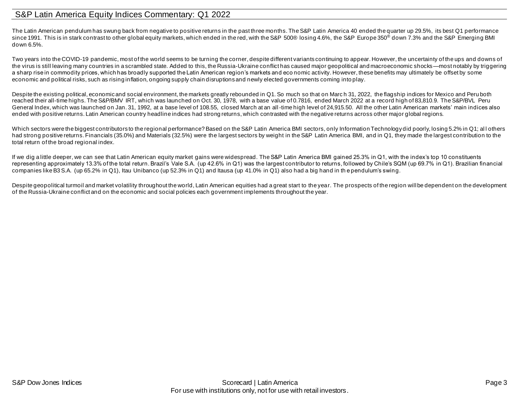### <span id="page-2-0"></span>S&P Latin America Equity Indices Commentary: Q1 2022

The Latin American pendulum has swung back from negative to positive returns in the past three months. The S&P Latin America 40 ended the quarter up 29.5%, its best Q1 performance since 1991. This is in stark contrast to other global equity markets, which ended in the red, with the S&P 500® losing 4.6%, the S&P Europe 350<sup>®</sup> down 7.3% and the S&P Emerging BMI down 6.5%.

Two years into the COVID-19 pandemic, most of the world seems to be turning the corner, despite different variants continuing to appear. However, the uncertainty of the ups and downs of the virus is still leaving many countries in a scrambled state. Added to this, the Russia-Ukraine conflict has caused major geopolitical and macroeconomic shocks—most notably by triggering a sharp rise in commodity prices, which has broadly supported the Latin American region's markets and eco nomic activity. However, these benefits may ultimately be offset by some economic and political risks, such as rising inflation, ongoing supply chain disruptions and newly elected governments coming into play.

Despite the existing political, economic and social environment, the markets greatly rebounded in Q1. So much so that on March 31, 2022, the flagship indices for Mexico and Peru both reached their all-time highs. The S&P/BMV IRT, which was launched on Oct. 30, 1978, with a base value of 0.7816, ended March 2022 at a record high of 83,810.9. The S&P/BVL Peru General Index, which was launched on Jan. 31, 1992, at a base level of 108.55, closed March at an all-time high level of 24,915.50. All the other Latin American markets' main indices also ended with positive returns. Latin American country headline indices had strong returns, which contrasted with the negative returns across other major global regions.

Which sectors were the biggest contributors to the regional performance? Based on the S&P Latin America BMI sectors, only Information Technology did poorly, losing 5.2% in Q1; all others had strong positive returns. Financials (35.0%) and Materials (32.5%) were the largest sectors by weight in the S&P Latin America BMI, and in Q1, they made the largest contribution to the total return of the broad regional index.

If we dig a little deeper, we can see that Latin American equity market gains were widespread. The S&P Latin America BMI gained 25.3% in Q1, with the index's top 10 constituents representing approximately 13.3% of the total return. Brazil's Vale S.A. (up 42.6% in Q1) was the largest contributor to returns, followed by Chile's SQM (up 69.7% in Q1). Brazilian financial companies like B3 S.A. (up 65.2% in Q1), Itau Unibanco (up 52.3% in Q1) and Itausa (up 41.0% in Q1) also had a big hand in th e pendulum's swing.

Despite geopolitical turmoil and market volatility throughout the world, Latin American equities had a great start to the year. The prospects of the region will be dependent on the development of the Russia-Ukraine conflict and on the economic and social policies each government implements throughout the year.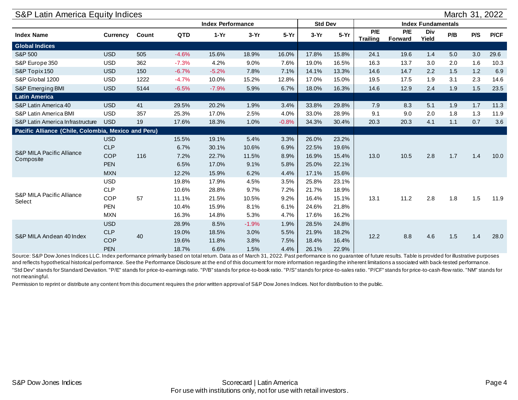<span id="page-3-1"></span><span id="page-3-0"></span>

| S&P Latin America Equity Indices                    |            |       |            |                          |         |         |                |        |                        |                |                           |     | March 31, 2022 |      |
|-----------------------------------------------------|------------|-------|------------|--------------------------|---------|---------|----------------|--------|------------------------|----------------|---------------------------|-----|----------------|------|
|                                                     |            |       |            | <b>Index Performance</b> |         |         | <b>Std Dev</b> |        |                        |                | <b>Index Fundamentals</b> |     |                |      |
| <b>Index Name</b>                                   | Currency   | Count | <b>QTD</b> | $1-Yr$                   | $3-Yr$  | $5-Yr$  | $3-Yr$         | $5-Yr$ | P/E<br><b>Trailing</b> | P/E<br>Forward | Div<br>Yield              | P/B | P/S            | P/CF |
| <b>Global Indices</b>                               |            |       |            |                          |         |         |                |        |                        |                |                           |     |                |      |
| S&P 500                                             | <b>USD</b> | 505   | $-4.6%$    | 15.6%                    | 18.9%   | 16.0%   | 17.8%          | 15.8%  | 24.1                   | 19.6           | 1.4                       | 5.0 | 3.0            | 29.6 |
| S&P Europe 350                                      | <b>USD</b> | 362   | $-7.3%$    | 4.2%                     | 9.0%    | 7.6%    | 19.0%          | 16.5%  | 16.3                   | 13.7           | 3.0                       | 2.0 | 1.6            | 10.3 |
| S&P Topix 150                                       | <b>USD</b> | 150   | $-6.7%$    | $-5.2%$                  | 7.8%    | 7.1%    | 14.1%          | 13.3%  | 14.6                   | 14.7           | 2.2                       | 1.5 | 1.2            | 6.9  |
| S&P Global 1200                                     | <b>USD</b> | 1222  | $-4.7%$    | 10.0%                    | 15.2%   | 12.8%   | 17.0%          | 15.0%  | 19.5                   | 17.5           | 1.9                       | 3.1 | 2.3            | 14.6 |
| S&P Emerging BMI                                    | <b>USD</b> | 5144  | $-6.5%$    | $-7.9%$                  | 5.9%    | 6.7%    | 18.0%          | 16.3%  | 14.6                   | 12.9           | 2.4                       | 1.9 | 1.5            | 23.5 |
| <b>Latin America</b>                                |            |       |            |                          |         |         |                |        |                        |                |                           |     |                |      |
| S&P Latin America 40                                | <b>USD</b> | 41    | 29.5%      | 20.2%                    | 1.9%    | 3.4%    | 33.8%          | 29.8%  | 7.9                    | 8.3            | 5.1                       | 1.9 | 1.7            | 11.3 |
| S&P Latin America BMI                               | <b>USD</b> | 357   | 25.3%      | 17.0%                    | 2.5%    | 4.0%    | 33.0%          | 28.9%  | 9.1                    | 9.0            | 2.0                       | 1.8 | 1.3            | 11.9 |
| S&P Latin America Infrastructure                    | <b>USD</b> | 19    | 17.6%      | 18.3%                    | 1.0%    | $-0.8%$ | 34.3%          | 30.4%  | 20.3                   | 20.3           | 4.1                       | 1.1 | 0.7            | 3.6  |
| Pacific Alliance (Chile, Colombia, Mexico and Peru) |            |       |            |                          |         |         |                |        |                        |                |                           |     |                |      |
|                                                     | <b>USD</b> |       | 15.5%      | 19.1%                    | 5.4%    | 3.3%    | 26.0%          | 23.2%  |                        |                |                           |     |                |      |
|                                                     | <b>CLP</b> |       | 6.7%       | 30.1%                    | 10.6%   | 6.9%    | 22.5%          | 19.6%  |                        | 10.5           | 2.8                       | 1.7 |                | 10.0 |
| <b>S&amp;P MILA Pacific Alliance</b><br>Composite   | <b>COP</b> | 116   | 7.2%       | 22.7%                    | 11.5%   | 8.9%    | 16.9%          | 15.4%  | 13.0                   |                |                           |     | 1.4            |      |
|                                                     | <b>PEN</b> |       | 6.5%       | 17.0%                    | 9.1%    | 5.8%    | 25.0%          | 22.1%  |                        |                |                           |     |                |      |
|                                                     | <b>MXN</b> |       | 12.2%      | 15.9%                    | 6.2%    | 4.4%    | 17.1%          | 15.6%  |                        |                |                           |     |                |      |
|                                                     | <b>USD</b> |       | 19.8%      | 17.9%                    | 4.5%    | 3.5%    | 25.8%          | 23.1%  |                        |                |                           |     |                |      |
|                                                     | <b>CLP</b> |       | 10.6%      | 28.8%                    | 9.7%    | 7.2%    | 21.7%          | 18.9%  |                        |                |                           |     |                |      |
| <b>S&amp;P MILA Pacific Alliance</b><br>Select      | <b>COP</b> | 57    | 11.1%      | 21.5%                    | 10.5%   | 9.2%    | 16.4%          | 15.1%  | 13.1                   | 11.2           | 2.8                       | 1.8 | 1.5            | 11.9 |
|                                                     | <b>PEN</b> |       | 10.4%      | 15.9%                    | 8.1%    | 6.1%    | 24.6%          | 21.8%  |                        |                |                           |     |                |      |
|                                                     | <b>MXN</b> |       | 16.3%      | 14.8%                    | 5.3%    | 4.7%    | 17.6%          | 16.2%  |                        |                |                           |     |                |      |
|                                                     | <b>USD</b> |       | 28.9%      | 8.5%                     | $-1.9%$ | 1.9%    | 28.5%          | 24.8%  |                        |                |                           |     |                |      |
|                                                     | <b>CLP</b> |       | 19.0%      | 18.5%                    | 3.0%    | 5.5%    | 21.9%          | 18.2%  |                        |                |                           |     |                |      |
| S&P MILA Andean 40 Index                            | <b>COP</b> | 40    | 19.6%      | 11.8%                    | 3.8%    | 7.5%    | 18.4%          | 16.4%  | 12.2                   | 8.8            | 4.6                       | 1.5 | 1.4            | 28.0 |
|                                                     | <b>PEN</b> |       | 18.7%      | 6.6%                     | 1.5%    | 4.4%    | 26.1%          | 22.9%  |                        |                |                           |     |                |      |

Source: S&P Dow Jones Indices LLC. Index performance primarily based on total return. Data as of March 31, 2022. Past performance is no guarantee of future results. Table is provided for illustrative purposes and reflects hypothetical historical performance. See the Performance Disclosure at the end of this document for more information regarding the inherent limitations a ssociated with back-tested performance.

"Std Dev" stands for Standard Deviation. "P/E" stands for price-to-earnings ratio. "P/B" stands for price-to-book ratio. "P/S" stands for price-to-sales ratio. "P/CF" stands for price-to-cash-flow ratio. "NM" stands for not meaningful.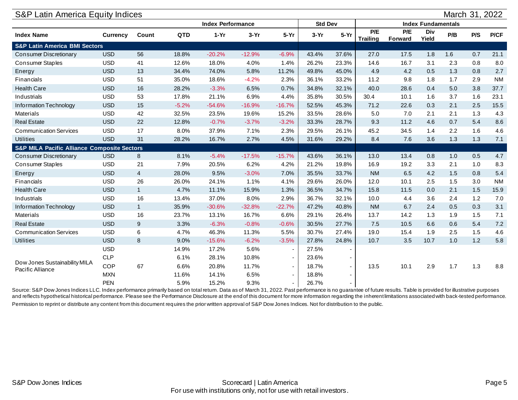<span id="page-4-1"></span><span id="page-4-0"></span>

| S&P Latin America Equity Indices                       |                 |                |            |                          |          |                          |                |        |                        |                |                           |     | March 31, 2022 |             |
|--------------------------------------------------------|-----------------|----------------|------------|--------------------------|----------|--------------------------|----------------|--------|------------------------|----------------|---------------------------|-----|----------------|-------------|
|                                                        |                 |                |            | <b>Index Performance</b> |          |                          | <b>Std Dev</b> |        |                        |                | <b>Index Fundamentals</b> |     |                |             |
| <b>Index Name</b>                                      | <b>Currency</b> | Count          | <b>QTD</b> | $1-Yr$                   | $3-Yr$   | $5-Yr$                   | $3-Yr$         | $5-Yr$ | P/E<br><b>Trailing</b> | P/E<br>Forward | Div<br>Yield              | P/B | P/S            | <b>P/CF</b> |
| <b>S&amp;P Latin America BMI Sectors</b>               |                 |                |            |                          |          |                          |                |        |                        |                |                           |     |                |             |
| Consumer Discretionary                                 | <b>USD</b>      | 56             | 18.8%      | $-20.2%$                 | $-12.9%$ | $-6.9%$                  | 43.4%          | 37.6%  | 27.0                   | 17.5           | 1.8                       | 1.6 | 0.7            | 21.1        |
| <b>Consumer Staples</b>                                | <b>USD</b>      | 41             | 12.6%      | 18.0%                    | 4.0%     | 1.4%                     | 26.2%          | 23.3%  | 14.6                   | 16.7           | 3.1                       | 2.3 | 0.8            | 8.0         |
| Energy                                                 | <b>USD</b>      | 13             | 34.4%      | 74.0%                    | 5.8%     | 11.2%                    | 49.8%          | 45.0%  | 4.9                    | 4.2            | 0.5                       | 1.3 | 0.8            | 2.7         |
| Financials                                             | <b>USD</b>      | 51             | 35.0%      | 18.6%                    | $-4.2%$  | 2.3%                     | 36.1%          | 33.2%  | 11.2                   | 9.8            | 1.8                       | 1.7 | 2.9            | <b>NM</b>   |
| <b>Health Care</b>                                     | <b>USD</b>      | 16             | 28.2%      | $-3.3%$                  | 6.5%     | 0.7%                     | 34.8%          | 32.1%  | 40.0                   | 28.6           | 0.4                       | 5.0 | 3.8            | 37.7        |
| Industrials                                            | <b>USD</b>      | 53             | 17.8%      | 21.1%                    | 6.9%     | 4.4%                     | 35.8%          | 30.5%  | 30.4                   | 10.1           | 1.6                       | 3.7 | 1.6            | 23.1        |
| Information Technology                                 | <b>USD</b>      | 15             | $-5.2%$    | $-54.6%$                 | $-16.9%$ | $-16.7%$                 | 52.5%          | 45.3%  | 71.2                   | 22.6           | 0.3                       | 2.1 | 2.5            | 15.5        |
| Materials                                              | <b>USD</b>      | 42             | 32.5%      | 23.5%                    | 19.6%    | 15.2%                    | 33.5%          | 28.6%  | 5.0                    | 7.0            | 2.1                       | 2.1 | 1.3            | 4.3         |
| <b>Real Estate</b>                                     | <b>USD</b>      | 22             | 12.8%      | $-0.7%$                  | $-3.7%$  | $-3.2%$                  | 33.3%          | 28.7%  | 9.3                    | 11.2           | 4.6                       | 0.7 | 5.4            | 8.6         |
| <b>Communication Services</b>                          | <b>USD</b>      | 17             | 8.0%       | 37.9%                    | 7.1%     | 2.3%                     | 29.5%          | 26.1%  | 45.2                   | 34.5           | 1.4                       | 2.2 | 1.6            | 4.6         |
| <b>Utilities</b>                                       | <b>USD</b>      | 31             | 28.2%      | 16.7%                    | 2.7%     | 4.5%                     | 31.6%          | 29.2%  | 8.4                    | 7.6            | 3.6                       | 1.3 | 1.3            | 7.1         |
| <b>S&amp;P MILA Pacific Alliance Composite Sectors</b> |                 |                |            |                          |          |                          |                |        |                        |                |                           |     |                |             |
| <b>Consumer Discretionary</b>                          | <b>USD</b>      | 8              | 8.1%       | $-5.4%$                  | $-17.5%$ | $-15.7%$                 | 43.6%          | 36.1%  | 13.0                   | 13.4           | 0.8                       | 1.0 | 0.5            | 4.7         |
| <b>Consumer Staples</b>                                | <b>USD</b>      | 21             | 7.9%       | 20.5%                    | 6.2%     | 4.2%                     | 21.2%          | 19.8%  | 16.9                   | 19.2           | 3.3                       | 2.1 | 1.0            | 8.3         |
| Energy                                                 | <b>USD</b>      | $\overline{4}$ | 28.0%      | 9.5%                     | $-3.0%$  | 7.0%                     | 35.5%          | 33.7%  | <b>NM</b>              | 6.5            | 4.2                       | 1.5 | 0.8            | 5.4         |
| Financials                                             | <b>USD</b>      | 26             | 26.0%      | 24.1%                    | 1.1%     | 4.1%                     | 29.6%          | 26.0%  | 12.0                   | 10.1           | 2.5                       | 1.5 | 3.0            | <b>NM</b>   |
| <b>Health Care</b>                                     | <b>USD</b>      | $\mathbf{1}$   | 4.7%       | 11.1%                    | 15.9%    | 1.3%                     | 36.5%          | 34.7%  | 15.8                   | 11.5           | 0.0                       | 2.1 | 1.5            | 15.9        |
| Industrials                                            | <b>USD</b>      | 16             | 13.4%      | 37.0%                    | 8.0%     | 2.9%                     | 36.7%          | 32.1%  | 10.0                   | 4.4            | 3.6                       | 2.4 | 1.2            | 7.0         |
| Information Technology                                 | <b>USD</b>      | $\mathbf{1}$   | 35.9%      | $-30.6%$                 | $-32.8%$ | $-22.7%$                 | 47.2%          | 40.8%  | <b>NM</b>              | 6.7            | 2.4                       | 0.5 | 0.3            | 3.1         |
| Materials                                              | <b>USD</b>      | 16             | 23.7%      | 13.1%                    | 16.7%    | 6.6%                     | 29.1%          | 26.4%  | 13.7                   | 14.2           | 1.3                       | 1.9 | 1.5            | 7.1         |
| <b>Real Estate</b>                                     | <b>USD</b>      | 9              | 3.3%       | $-6.3%$                  | $-0.8%$  | $-0.6%$                  | 30.5%          | 27.7%  | 7.5                    | 10.5           | 6.6                       | 0.6 | 5.4            | 7.2         |
| <b>Communication Services</b>                          | <b>USD</b>      | 6              | 4.7%       | 46.3%                    | 11.3%    | 5.5%                     | 30.7%          | 27.4%  | 19.0                   | 15.4           | 1.9                       | 2.5 | 1.5            | 4.6         |
| <b>Utilities</b>                                       | <b>USD</b>      | 8              | 9.0%       | $-15.6%$                 | $-6.2%$  | $-3.5%$                  | 27.8%          | 24.8%  | 10.7                   | 3.5            | 10.7                      | 1.0 | 1.2            | 5.8         |
|                                                        | <b>USD</b>      |                | 14.9%      | 17.2%                    | 5.6%     | $\overline{\phantom{a}}$ | 27.5%          |        |                        |                |                           |     |                |             |
|                                                        | <b>CLP</b>      |                | 6.1%       | 28.1%                    | 10.8%    | $\blacksquare$           | 23.6%          |        |                        |                |                           |     |                |             |
| Dow Jones Sustainability MILA                          | COP             | 67             | 6.6%       | 20.8%                    | 11.7%    | $\blacksquare$           | 18.7%          | $\sim$ | 13.5                   | 10.1           | 2.9                       | 1.7 | 1.3            | 8.8         |
| Pacific Alliance                                       | <b>MXN</b>      |                | 11.6%      | 14.1%                    | 6.5%     | $\overline{\phantom{a}}$ | 18.8%          | $\sim$ |                        |                |                           |     |                |             |
|                                                        | <b>PEN</b>      |                | 5.9%       | 15.2%                    | 9.3%     | $\blacksquare$           | 26.7%          | $\sim$ |                        |                |                           |     |                |             |

Source: S&P Dow Jones Indices LLC. Index performance primarily based on total return. Data as of March 31, 2022. Past performance is no guarantee of future results. Table is provided for illustrative purposes and reflects hypothetical historical performance. Please see the Performance Disclosure at the end of this document for more information regarding the inherent limitations associated with back-tested performance. Permission to reprint or distribute any content from this document requires the prior written approval of S&P Dow Jones Indices. Not for distribution to the public.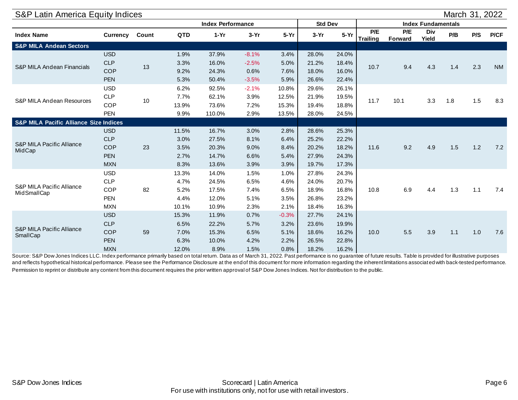| S&P Latin America Equity Indices                  |            |       |            |                          |         |         |                |        |                        |                |                           |     | March 31, 2022 |           |
|---------------------------------------------------|------------|-------|------------|--------------------------|---------|---------|----------------|--------|------------------------|----------------|---------------------------|-----|----------------|-----------|
|                                                   |            |       |            | <b>Index Performance</b> |         |         | <b>Std Dev</b> |        |                        |                | <b>Index Fundamentals</b> |     |                |           |
| <b>Index Name</b>                                 | Currency   | Count | <b>QTD</b> | $1-Yr$                   | $3-Yr$  | $5-Yr$  | $3-Yr$         | $5-Yr$ | P/E<br><b>Trailing</b> | P/E<br>Forward | Div<br>Yield              | P/B | P/S            | P/CF      |
| <b>S&amp;P MILA Andean Sectors</b>                |            |       |            |                          |         |         |                |        |                        |                |                           |     |                |           |
|                                                   | <b>USD</b> |       | 1.9%       | 37.9%                    | $-8.1%$ | 3.4%    | 28.0%          | 24.0%  |                        |                |                           |     |                | <b>NM</b> |
| S&P MILA Andean Financials                        | <b>CLP</b> | 13    | 3.3%       | 16.0%                    | $-2.5%$ | 5.0%    | 21.2%          | 18.4%  | 10.7                   | 9.4            | 4.3                       | 1.4 | 2.3            |           |
|                                                   | <b>COP</b> |       | 9.2%       | 24.3%                    | 0.6%    | 7.6%    | 18.0%          | 16.0%  |                        |                |                           |     |                |           |
|                                                   | <b>PEN</b> |       | 5.3%       | 50.4%                    | $-3.5%$ | 5.9%    | 26.6%          | 22.4%  |                        |                |                           |     |                |           |
|                                                   | <b>USD</b> |       | 6.2%       | 92.5%                    | $-2.1%$ | 10.8%   | 29.6%          | 26.1%  |                        |                |                           |     |                |           |
| <b>S&amp;P MILA Andean Resources</b>              | <b>CLP</b> | 10    | 7.7%       | 62.1%                    | 3.9%    | 12.5%   | 21.9%          | 19.5%  | 11.7                   | 10.1           | 3.3                       | 1.8 | 1.5            | 8.3       |
|                                                   | <b>COP</b> |       | 13.9%      | 73.6%                    | 7.2%    | 15.3%   | 19.4%          | 18.8%  |                        |                |                           |     |                |           |
|                                                   | <b>PEN</b> |       | 9.9%       | 110.0%                   | 2.9%    | 13.5%   | 28.0%          | 24.5%  |                        |                |                           |     |                |           |
| <b>S&amp;P MILA Pacific Alliance Size Indices</b> |            |       |            |                          |         |         |                |        |                        |                |                           |     |                |           |
|                                                   | <b>USD</b> |       | 11.5%      | 16.7%                    | 3.0%    | 2.8%    | 28.6%          | 25.3%  |                        |                |                           |     |                |           |
| <b>S&amp;P MILA Pacific Alliance</b>              | <b>CLP</b> |       | 3.0%       | 27.5%                    | 8.1%    | 6.4%    | 25.2%          | 22.2%  |                        |                |                           |     |                |           |
| MidCap                                            | <b>COP</b> | 23    | 3.5%       | 20.3%                    | 9.0%    | 8.4%    | 20.2%          | 18.2%  | 11.6                   | 9.2            | 4.9                       | 1.5 | 1.2            | 7.2       |
|                                                   | <b>PEN</b> |       | 2.7%       | 14.7%                    | 6.6%    | 5.4%    | 27.9%          | 24.3%  |                        |                |                           |     |                |           |
|                                                   | <b>MXN</b> |       | 8.3%       | 13.6%                    | 3.9%    | 3.9%    | 19.7%          | 17.3%  |                        |                |                           |     |                |           |
|                                                   | <b>USD</b> |       | 13.3%      | 14.0%                    | 1.5%    | 1.0%    | 27.8%          | 24.3%  |                        |                |                           |     |                |           |
| S&P MILA Pacific Alliance                         | <b>CLP</b> |       | 4.7%       | 24.5%                    | 6.5%    | 4.6%    | 24.0%          | 20.7%  |                        |                |                           |     |                |           |
| <b>MidSmallCap</b>                                | <b>COP</b> | 82    | 5.2%       | 17.5%                    | 7.4%    | 6.5%    | 18.9%          | 16.8%  | 10.8                   | 6.9            | 4.4                       | 1.3 | 1.1            | 7.4       |
|                                                   | <b>PEN</b> |       | 4.4%       | 12.0%                    | 5.1%    | 3.5%    | 26.8%          | 23.2%  |                        |                |                           |     |                |           |
|                                                   | <b>MXN</b> |       | 10.1%      | 10.9%                    | 2.3%    | 2.1%    | 18.4%          | 16.3%  |                        |                |                           |     |                |           |
|                                                   | <b>USD</b> |       | 15.3%      | 11.9%                    | 0.7%    | $-0.3%$ | 27.7%          | 24.1%  |                        |                |                           |     |                |           |
| S&P MILA Pacific Alliance                         | <b>CLP</b> |       | 6.5%       | 22.2%                    | 5.7%    | 3.2%    | 23.6%          | 19.9%  |                        |                |                           |     |                |           |
| SmallCap                                          | <b>COP</b> | 59    | 7.0%       | 15.3%                    | 6.5%    | 5.1%    | 18.6%          | 16.2%  | 10.0                   | 5.5            | 3.9                       | 1.1 | 1.0            | 7.6       |
|                                                   | <b>PEN</b> |       | 6.3%       | 10.0%                    | 4.2%    | 2.2%    | 26.5%          | 22.8%  |                        |                |                           |     |                |           |
|                                                   | <b>MXN</b> |       | 12.0%      | 8.9%                     | 1.5%    | 0.8%    | 18.2%          | 16.2%  |                        |                |                           |     |                |           |

Source: S&P Dow Jones Indices LLC. Index performance primarily based on total return. Data as of March 31, 2022. Past performance is no guarantee of future results. Table is provided for illustrative purposes and reflects hypothetical historical performance. Please see the Performance Disclosure at the end of this document for more information regarding the inherent limitations associated with back-tested performance. Permission to reprint or distribute any content from this document requires the prior written approval of S&P Dow Jones Indices. Not for distribution to the public.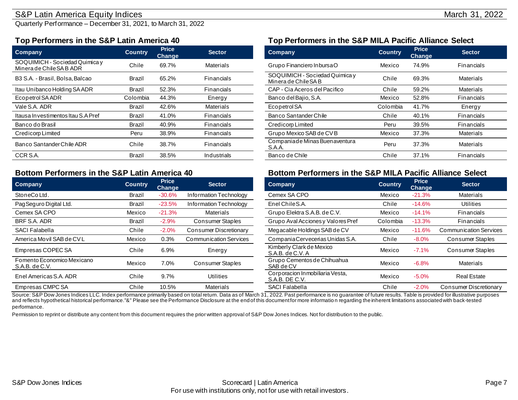### S&P Latin America Equity Indices **March 31, 2022**

Quarterly Performance – December 31, 2021, to March 31, 2022

| <b>Company</b>                                             | <b>Country</b> | <b>Price</b><br><b>Change</b> | <b>Sector</b>    | <b>Company</b>                                         | <b>Country</b> | <b>Price</b><br><b>Change</b> |  |
|------------------------------------------------------------|----------------|-------------------------------|------------------|--------------------------------------------------------|----------------|-------------------------------|--|
| SOQUIMICH - Sociedad Quimica y<br>Minera de Chile SA B ADR | Chile          | 69.7%                         | <b>Materials</b> | Grupo Financiero InbursaO                              | Mexico         | 74.9%                         |  |
| B3 S.A. - Brasil. Bolsa. Balcao                            | Brazil         | 65.2%                         | Financials       | SOQUIMICH - Sociedad Quimica y<br>Minera de Chile SA B | Chile          | 69.3%                         |  |
| Itau Unibanco Holding SA ADR                               | <b>Brazil</b>  | 52.3%                         | Financials       | CAP - Cia Aceros del Pacifico                          | Chile          | 59.2%                         |  |
| Ecopetrol SA ADR                                           | Colombia       | 44.3%                         | Energy           | Banco del Bajio, S.A.                                  | Mexico         | 52.8%                         |  |
| Vale S.A. ADR                                              | Brazil         | 42.6%                         | Materials        | Ecopetrol SA                                           | Colombia       | 41.7%                         |  |
| Itausa Investimentos Itau S.A Pref                         | Brazil         | 41.0%                         | Financials       | Banco Santander Chile                                  | Chile          | 40.1%                         |  |
| Banco do Brasil                                            | <b>Brazil</b>  | 40.9%                         | Financials       | Credicorp Limited                                      | Peru           | 39.5%                         |  |
| Credicorp Limited                                          | Peru           | 38.9%                         | Financials       | Grupo Mexico SAB de CVB                                | Mexico         | 37.3%                         |  |
| Banco Santander Chile ADR                                  | Chile          | 38.7%                         | Financials       | Companiade Minas Buen aventura<br>S.A.A.               | Peru           | 37.3%                         |  |
| CCR S.A.                                                   | Brazil         | 38.5%                         | Industrials      | Banco de Chile                                         | Chile          | 37.1%                         |  |

| <b>Company</b>                               | <b>Country</b> | <b>Price</b><br><b>Change</b> | <b>Sector</b>                 | <b>Company</b>                                    | <b>Country</b> | <b>Price</b><br><b>Change</b> | <b>Sector</b>                 |
|----------------------------------------------|----------------|-------------------------------|-------------------------------|---------------------------------------------------|----------------|-------------------------------|-------------------------------|
| StoneCoLtd.                                  | Brazil         | $-30.6%$                      | Information Technology        | Cemex SA CPO                                      | Mexico         | $-21.3%$                      | <b>Materials</b>              |
| Pag Seguro Digital Ltd.                      | Brazil         | $-23.5%$                      | Information Technology        | Enel Chile S.A.                                   | Chile          | $-14.6%$                      | Utilities                     |
| Cemex SA CPO                                 | Mexico         | $-21.3%$                      | Materials                     | Grupo Elektra S.A.B. de C.V.                      | Mexico         | $-14.1%$                      | <b>Financials</b>             |
| BRF S.A. ADR                                 | Brazil         | $-2.9%$                       | <b>Consumer Staples</b>       | Grupo Aval Acciones y Valores Pref                | Colombia       | $-13.3%$                      | <b>Financials</b>             |
| <b>SACI Falabella</b>                        | Chile          | $-2.0%$                       | <b>Consumer Discretionary</b> | Megacable Holdings SAB de CV                      | Mexico         | $-11.6%$                      | <b>Communication Services</b> |
| America Movil SAB de CVL                     | Mexico         | 0.3%                          | <b>Communication Services</b> | Compania Cervecerias Unidas S.A.                  | Chile          | $-8.0%$                       | Consumer Staples              |
| Empresas COPEC SA                            | Chile          | 6.9%                          | Energy                        | Kimberly Clark de Mexico<br>$S.A.B.$ de $C.V.A$   | Mexico         | $-7.1%$                       | Consumer Staples              |
| Fomento Economico Mexicano<br>S.A.B. de C.V. | Mexico         | 7.0%                          | <b>Consumer Staples</b>       | Grupo Cementos de Chihuahua<br>SAB de CV          | Mexico         | $-6.8%$                       | <b>Materials</b>              |
| Enel Americas S.A. ADR                       | Chile          | 9.7%                          | <b>Utilities</b>              | Corporacion Inmobiliaria Vesta,<br>S.A.B. DE C.V. | Mexico         | $-5.0%$                       | <b>Real Estate</b>            |
| Empresas CMPC SA                             | Chile          | 10.5%                         | Materials                     | <b>SACI Falabella</b>                             | Chile          | $-2.0%$                       | Consumer Discretionary        |

### <span id="page-6-0"></span>**Top Performers in the S&P Latin America 40 Top Performers in the S&P MILA Pacific Alliance Select**

<span id="page-6-1"></span>

| <b>Price</b><br><b>Change</b> | <b>Sector</b>    | <b>Company</b>                                         | <b>Country</b> | <b>Price</b><br><b>Change</b> | <b>Sector</b>    |
|-------------------------------|------------------|--------------------------------------------------------|----------------|-------------------------------|------------------|
| 69.7%                         | <b>Materials</b> | Grupo Financiero InbursaO                              | Mexico         | 74.9%                         | Financials       |
| 65.2%                         | Financials       | SOQUIMICH - Sociedad Quimica y<br>Minera de Chile SA B | Chile          | 69.3%                         | Materials        |
| 52.3%                         | Financials       | CAP - Cia Aceros del Pacifico                          | Chile          | 59.2%                         | <b>Materials</b> |
| 44.3%                         | Energy           | Banco del Bajio, S.A.                                  | Mexico         | 52.8%                         | Financials       |
| 42.6%                         | <b>Materials</b> | Ecopetrol SA                                           | Colombia       | 41.7%                         | Energy           |
| 41.0%                         | Financials       | Banco Santander Chile                                  | Chile          | 40.1%                         | Financials       |
| 40.9%                         | Financials       | Credicorp Limited                                      | Peru           | 39.5%                         | Financials       |
| 38.9%                         | Financials       | Grupo Mexico SAB de CVB                                | Mexico         | 37.3%                         | <b>Materials</b> |
| 38.7%                         | Financials       | Companiade Minas Buen aventura<br>S.A.A.               | Peru           | 37.3%                         | <b>Materials</b> |
| 38.5%                         | Industrials      | Banco de Chile                                         | Chile          | 37.1%                         | Financials       |

#### **Bottom Performers in the S&P Latin America 40 Bottom Performers in the S&P MILA Pacific Alliance Select**

| <b>Price</b><br><b>Change</b> | <b>Sector</b>                 | Company                                           | <b>Country</b> | <b>Price</b><br><b>Change</b> | <b>Sector</b>                 |
|-------------------------------|-------------------------------|---------------------------------------------------|----------------|-------------------------------|-------------------------------|
| $-30.6%$                      | Information Technology        | Cemex SA CPO                                      | Mexico         | $-21.3%$                      | <b>Materials</b>              |
| $-23.5%$                      | Information Technology        | Enel Chile S.A.                                   | Chile          | $-14.6%$                      | <b>Utilities</b>              |
| $-21.3%$                      | <b>Materials</b>              | Grupo Elektra S.A.B. de C.V.                      | Mexico         | $-14.1%$                      | Financials                    |
| $-2.9%$                       | Consumer Staples              | Grupo Aval Acciones y Valores Pref                | Colombia       | $-13.3%$                      | Financials                    |
| $-2.0\%$                      | <b>Consumer Discretionary</b> | Megacable Holdings SAB de CV                      | Mexico         | $-11.6%$                      | <b>Communication Services</b> |
| 0.3%                          | <b>Communication Services</b> | Compania Cervecerias Unidas S.A.                  | Chile          | $-8.0%$                       | Consumer Staples              |
| 6.9%                          | Energy                        | Kimberly Clark de Mexico<br>S.A.B. de C.V.A       | Mexico         | $-7.1%$                       | Consumer Staples              |
| 7.0%                          | Consumer Staples              | Grupo Cementos de Chihuahua<br>SAB de CV          | Mexico         | $-6.8%$                       | <b>Materials</b>              |
| 9.7%                          | Utilities                     | Corporacion Inmobiliaria Vesta,<br>S.A.B. DE C.V. | Mexico         | $-5.0%$                       | <b>Real Estate</b>            |
| 10.5%                         | <b>Materials</b>              | <b>SACI Falabella</b>                             | Chile          | $-2.0%$                       | <b>Consumer Discretionary</b> |

Source: S&P Dow Jones Indices LLC. Index performance primarily based on total return. Data as of March 31, 2022. Past performance is no guarantee of future results. Table is provided for illustrative purposes and reflects hypothetical historical performance."&" Please see the Performance Disclosure at the end of this document for more informatio n regarding the inherent limitations associated with back-tested performance.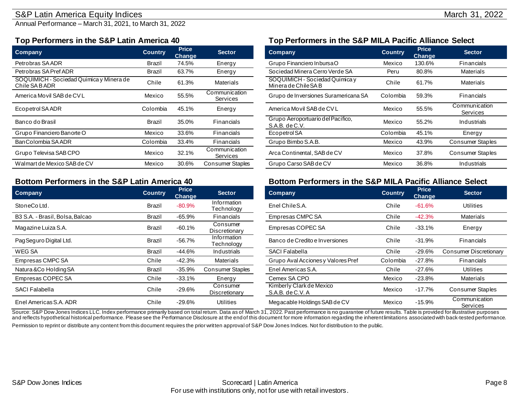### S&P Latin America Equity Indices March 31, 2022

Annual Performance – March 31, 2021, to March 31, 2022

| <b>Company</b>                                             | <b>Country</b> | <b>Price</b><br><b>Change</b> | <b>Sector</b>                    | <b>Company</b>                                         | <b>Country</b> | <b>Price</b><br><b>Change</b> | <b>Sector</b>             |
|------------------------------------------------------------|----------------|-------------------------------|----------------------------------|--------------------------------------------------------|----------------|-------------------------------|---------------------------|
| Petrobras SA ADR                                           | Brazil         | 74.5%                         | Energy                           | Grupo Financiero InbursaO                              | Mexico         | 130.6%                        | Financials                |
| Petrobras SA Pref ADR                                      | Brazil         | 63.7%                         | Energy                           | Sociedad Minera Cerro Verde SA                         | Peru           | 80.8%                         | <b>Materials</b>          |
| SOQUIMICH - Sociedad Quimica y Minera de<br>Chile SA B ADR | Chile          | 61.3%                         | <b>Materials</b>                 | SOQUIMICH - Sociedad Quimica y<br>Minera de Chile SA B | Chile          | 61.7%                         | <b>Materials</b>          |
| America Movil SAB de CVL                                   | Mexico         | 55.5%                         | Communication<br>Services        | Grupo de Inversiones Suramericana SA                   | Colombia       | 59.3%                         | Financials                |
| Ecopetrol SA ADR                                           | Colombia       | 45.1%                         | Energy                           | America Movil SAB de CV L                              | Mexico         | 55.5%                         | Communication<br>Services |
| Banco do Brasil                                            | <b>Brazil</b>  | 35.0%                         | <b>Financials</b>                | Grupo Aeroportuario del Pacifico,<br>S.A.B. de C.V.    | Mexico         | 55.2%                         | Industrials               |
| Grupo Financiero Banorte O                                 | Mexico         | 33.6%                         | Financials                       | Ecopetrol SA                                           | Colombia       | 45.1%                         | Energy                    |
| Ban Colombia SA ADR                                        | Colombia       | 33.4%                         | Financials                       | Grupo Bimbo S.A.B.                                     | Mexico         | 43.9%                         | <b>Consumer Staples</b>   |
| Grupo Televisa SAB CPO                                     | Mexico         | 32.1%                         | Communication<br><b>Services</b> | Arca Continental, SAB de CV                            | Mexico         | 37.8%                         | <b>Consumer Staples</b>   |
| Walmart de Mexico SAB de CV                                | Mexico         | 30.6%                         | <b>Consumer Staples</b>          | Grupo Carso SAB de CV                                  | Mexico         | 36.8%                         | Industrials               |

| <b>Company</b>                  | <b>Country</b> | <b>Price</b><br>Change | <b>Sector</b>             | <b>Company</b>                               | <b>Country</b> | <b>Price</b><br><b>Change</b> | <b>Sector</b>                 |
|---------------------------------|----------------|------------------------|---------------------------|----------------------------------------------|----------------|-------------------------------|-------------------------------|
| StoneCoLtd.                     | Brazil         | $-80.9%$               | Information<br>Technology | Enel Chile S.A.                              | Chile          | $-61.6%$                      | <b>Utilities</b>              |
| B3 S.A. - Brasil, Bolsa, Balcao | Brazil         | $-65.9%$               | Financials                | Empresas CMPC SA                             | Chile          | $-42.3%$                      | Materials                     |
| Magazine Luiza S.A.             | Brazil         | $-60.1%$               | Consumer<br>Discretionary | Empresas COPEC SA                            | Chile          | $-33.1%$                      | Energy                        |
| Pag Seguro Digital Ltd.         | Brazil         | $-56.7%$               | Information<br>Technology | Banco de Credito e Inversiones               | Chile          | $-31.9%$                      | Financials                    |
| WEG SA                          | Brazil         | -44.6%                 | Industrials               | <b>SACI Falabella</b>                        | Chile          | $-29.6%$                      | <b>Consumer Discretionary</b> |
| Empresas CMPC SA                | Chile          | $-42.3%$               | Materials                 | Grupo Aval Acciones y Valores Pref           | Colombia       | -27.8%                        | Financials                    |
| Natura & Co Holding SA          | Brazil         | $-35.9%$               | <b>Consumer Staples</b>   | Enel Americas S.A.                           | Chile          | -27.6%                        | Utilities                     |
| Empresas COPEC SA               | Chile          | $-33.1%$               | Energy                    | Cemex SA CPO                                 | Mexico         | $-23.8\%$                     | Materials                     |
| SACI Falabella                  | Chile          | $-29.6%$               | Consumer<br>Discretionary | Kimberly Clark de Mexico<br>S.A.B. de C.V. A | Mexico         | -17.7%                        | <b>Consumer Staples</b>       |
| Enel Americas S.A. ADR          | Chile          | $-29.6%$               | <b>Utilities</b>          | Megacable Holdings SAB de CV                 | Mexico         | $-15.9%$                      | Communication<br>Services     |

# **Top Performers in the S&P Latin America 40 Top Performers in the S&P MILA Pacific Alliance Select**

| <b>Price</b><br>Change | <b>Sector</b>             | Company                                                 | <b>Country</b> | <b>Price</b><br><b>Change</b> | <b>Sector</b>             |
|------------------------|---------------------------|---------------------------------------------------------|----------------|-------------------------------|---------------------------|
| 74.5%                  | Energy                    | Grupo Financiero InbursaO                               | Mexico         | 130.6%                        | Financials                |
| 63.7%                  | Energy                    | Sociedad Minera Cerro Verde SA                          | Peru           | 80.8%                         | <b>Materials</b>          |
| 61.3%                  | <b>Materials</b>          | SOQUIMICH - Sociedad Quimica y<br>Minera de Chile SA B  | Chile          | 61.7%                         | <b>Materials</b>          |
| 55.5%                  | Communication<br>Services | Grupo de Inversiones Suramericana SA                    | Colombia       | 59.3%                         | Financials                |
| 45.1%                  | Energy                    | America Movil SAB de CVL                                | Mexico         | 55.5%                         | Communication<br>Services |
| 35.0%                  | Financials                | Grupo Aeroportuario del Pacifico,<br>$S.A.B.$ de $C.V.$ | Mexico         | 55.2%                         | Industrials               |
| 33.6%                  | Financials                | Ecopetrol SA                                            | Colombia       | 45.1%                         | Energy                    |
| 33.4%                  | Financials                | Grupo Bimbo S.A.B.                                      | Mexico         | 43.9%                         | Consumer Staples          |
| 32.1%                  | Communication<br>Services | Arca Continental, SAB de CV                             | Mexico         | 37.8%                         | Consumer Staples          |
| 30.6%                  | <b>Consumer Staples</b>   | Grupo Carso SAB de CV                                   | Mexico         | 36.8%                         | Industrials               |

## **Bottom Performers in the S&P Latin America 40 Bottom Performers in the S&P MILA Pacific Alliance Select**

| <b>Price</b><br><u>Change</u> | <b>Sector</b>             | Company                                      | <b>Country</b> | <b>Price</b><br><b>Change</b> | <b>Sector</b>             |
|-------------------------------|---------------------------|----------------------------------------------|----------------|-------------------------------|---------------------------|
| $-80.9%$                      | Information<br>Technology | Enel Chile S.A.                              | Chile          | $-61.6%$                      | <b>Utilities</b>          |
| $-65.9%$                      | Financials                | Empresas CMPC SA                             | Chile          | $-42.3%$                      | Materials                 |
| $-60.1%$                      | Consumer<br>Discretionary | Empresas COPEC SA                            | Chile          | $-33.1%$                      | Energy                    |
| $-56.7%$                      | Information<br>Technology | Banco de Credito e Inversiones               | Chile          | $-31.9%$                      | Financials                |
| $-44.6%$                      | Industrials               | <b>SACI Falabella</b>                        | Chile          | $-29.6%$                      | Consumer Discretionary    |
| $-42.3%$                      | Materials                 | Grupo Aval Acciones y Valores Pref           | Colombia       | $-27.8%$                      | Financials                |
| $-35.9%$                      | <b>Consumer Staples</b>   | Enel Americas S.A.                           | Chile          | $-27.6%$                      | <b>Utilities</b>          |
| $-33.1%$                      | Energy                    | Cemex SA CPO                                 | Mexico         | $-23.8%$                      | <b>Materials</b>          |
| $-29.6%$                      | Consumer<br>Discretionary | Kimberly Clark de Mexico<br>S.A.B. de C.V. A | Mexico         | $-17.7%$                      | <b>Consumer Staples</b>   |
| $-29.6%$                      | Utilities                 | Megacable Holdings SAB de CV                 | Mexico         | $-15.9%$                      | Communication<br>Services |

Source: S&P Dow Jones Indices LLC. Index performance primarily based on total return. Data as of March 31, 2022. Past performance is no guarantee of future results. Table is provided for illustrative purposes and reflects hypothetical historical performance. Please see the Performance Disclosure at the end of this document for more information regarding the inherent limitations associated with back-tested performance. Permission to reprint or distribute any content from this document requires the prior written approval of S&P Dow Jones Indices. Not for distribution to the public.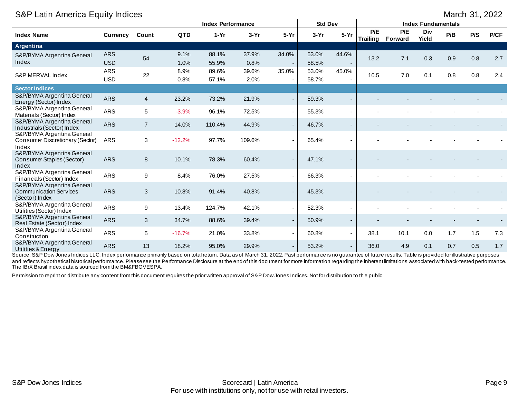<span id="page-8-0"></span>

| S&P Latin America Equity Indices                                              |                          |                |              |                          |               |                          |                |                          |                 |                |                           |     | March 31, 2022 |      |
|-------------------------------------------------------------------------------|--------------------------|----------------|--------------|--------------------------|---------------|--------------------------|----------------|--------------------------|-----------------|----------------|---------------------------|-----|----------------|------|
|                                                                               |                          |                |              | <b>Index Performance</b> |               |                          | <b>Std Dev</b> |                          |                 |                | <b>Index Fundamentals</b> |     |                |      |
| <b>Index Name</b>                                                             | <b>Currency</b>          | Count          | <b>QTD</b>   | $1-Yr$                   | $3-Yr$        | $5-Yr$                   | $3-Yr$         | $5-Yr$                   | P/E<br>Trailing | P/E<br>Forward | Div<br>Yield              | P/B | P/S            | P/CF |
| Argentina                                                                     |                          |                |              |                          |               |                          |                |                          |                 |                |                           |     |                |      |
| S&P/BYMA Argentina General<br>Index                                           | <b>ARS</b><br><b>USD</b> | 54             | 9.1%<br>1.0% | 88.1%<br>55.9%           | 37.9%<br>0.8% | 34.0%                    | 53.0%<br>58.5% | 44.6%                    | 13.2            | 7.1            | 0.3                       | 0.9 | 0.8            | 2.7  |
| S&P MERVAL Index                                                              | <b>ARS</b><br><b>USD</b> | 22             | 8.9%<br>0.8% | 89.6%<br>57.1%           | 39.6%<br>2.0% | 35.0%                    | 53.0%<br>58.7% | 45.0%                    | 10.5            | 7.0            | 0.1                       | 0.8 | $0.8\,$        | 2.4  |
| <b>Sector Indices</b>                                                         |                          |                |              |                          |               |                          |                |                          |                 |                |                           |     |                |      |
| S&P/BYMA Argentina General<br>Energy (Sector) Index                           | <b>ARS</b>               | 4              | 23.2%        | 73.2%                    | 21.9%         | $\sim$                   | 59.3%          | ٠                        |                 |                |                           |     |                |      |
| S&P/BYMA Argentina General<br>Materials (Sector) Index                        | <b>ARS</b>               | 5              | $-3.9%$      | 96.1%                    | 72.5%         | $\sim$                   | 55.3%          | $\blacksquare$           |                 |                |                           |     |                |      |
| S&P/BYMA Argentina General<br>Industrials (Sector) Index                      | <b>ARS</b>               | $\overline{7}$ | 14.0%        | 110.4%                   | 44.9%         | $\sim$                   | 46.7%          | $\overline{\phantom{a}}$ |                 |                |                           |     |                |      |
| S&P/BYMA Argentina General<br>Consumer Discretionary (Sector)<br>Index        | <b>ARS</b>               | 3              | $-12.2%$     | 97.7%                    | 109.6%        | $\overline{\phantom{a}}$ | 65.4%          | ٠                        |                 |                |                           |     |                |      |
| S&P/BYMA Argentina General<br>Consumer Staples (Sector)<br>Index              | <b>ARS</b>               | 8              | 10.1%        | 78.3%                    | 60.4%         | $\overline{\phantom{a}}$ | 47.1%          | -                        |                 |                |                           |     |                |      |
| S&P/BYMA Argentina General<br>Financials (Sector) Index                       | <b>ARS</b>               | 9              | 8.4%         | 76.0%                    | 27.5%         | $\sim$                   | 66.3%          | $\overline{\phantom{a}}$ |                 |                |                           |     |                |      |
| S&P/BYMA Argentina General<br><b>Communication Services</b><br>(Sector) Index | <b>ARS</b>               | $\mathbf{3}$   | 10.8%        | 91.4%                    | 40.8%         |                          | 45.3%          |                          |                 |                |                           |     |                |      |
| S&P/BYMA Argentina General<br>Utilities (Sector) Index                        | <b>ARS</b>               | 9              | 13.4%        | 124.7%                   | 42.1%         | $\sim$                   | 52.3%          | $\overline{a}$           |                 |                |                           |     |                |      |
| S&P/BYMA Argentina General<br>Real Estate (Sector) Index                      | <b>ARS</b>               | $\mathfrak{S}$ | 34.7%        | 88.6%                    | 39.4%         | $\overline{\phantom{a}}$ | 50.9%          | ۰.                       |                 |                |                           |     |                |      |
| S&P/BYMA Argentina General<br>Construction                                    | <b>ARS</b>               | 5              | $-16.7%$     | 21.0%                    | 33.8%         | $\sim$                   | 60.8%          | $\overline{\phantom{a}}$ | 38.1            | 10.1           | 0.0                       | 1.7 | 1.5            | 7.3  |
| S&P/BYMA Argentina General<br>Utilities & Energy                              | <b>ARS</b>               | 13             | 18.2%        | 95.0%                    | 29.9%         | $\overline{\phantom{a}}$ | 53.2%          | $\overline{\phantom{a}}$ | 36.0            | 4.9            | 0.1                       | 0.7 | 0.5            | 1.7  |

Source: S&P Dow Jones Indices LLC. Index performance primarily based on total return. Data as of March 31, 2022. Past performance is no guarantee of future results. Table is provided for illustrative purposes and reflects hypothetical historical performance. Please see the Performance Disclosure at the end of this document for more information regarding the inherent limitations associated with back-tested performance. The IBrX Brasil index data is sourced from the BM&FBOVESPA.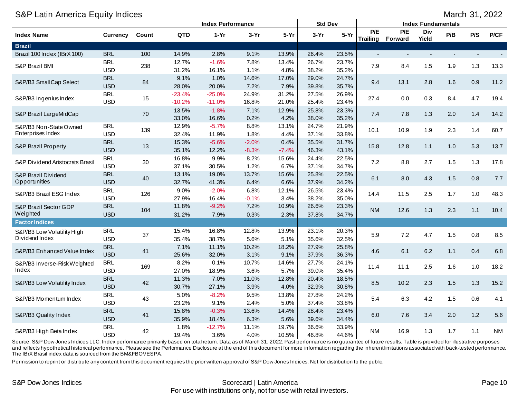<span id="page-9-0"></span>

| <b>S&amp;P Latin America Equity Indices</b> |                          |       |                |                          |              |               |                |                |                |                                |                           |     | March 31, 2022 |           |
|---------------------------------------------|--------------------------|-------|----------------|--------------------------|--------------|---------------|----------------|----------------|----------------|--------------------------------|---------------------------|-----|----------------|-----------|
|                                             |                          |       |                | <b>Index Performance</b> |              |               | <b>Std Dev</b> |                |                |                                | <b>Index Fundamentals</b> |     |                |           |
| <b>Index Name</b>                           | <b>Currency</b>          | Count | QTD            | $1-Yr$                   | $3-Yr$       | $5-Yr$        | $3-Yr$         | $5-Yr$         | PIE            | P/E<br><b>Trailing Forward</b> | Div<br>Yield              | P/B | P/S            | P/CF      |
| <b>Brazil</b>                               |                          |       |                |                          |              |               |                |                |                |                                |                           |     |                |           |
| Brazil 100 Index (IBrX 100)                 | <b>BRL</b>               | 100   | 14.9%          | 2.8%                     | 9.1%         | 13.9%         | 26.4%          | 23.5%          | $\overline{a}$ |                                |                           |     |                |           |
| S&P Brazil BMI                              | <b>BRL</b><br><b>USD</b> | 238   | 12.7%<br>31.2% | $-1.6%$<br>16.1%         | 7.8%<br>1.1% | 13.4%<br>4.8% | 26.7%<br>38.2% | 23.7%<br>35.2% | 7.9            | 8.4                            | 1.5                       | 1.9 | 1.3            | 13.3      |
|                                             | <b>BRL</b>               |       | 9.1%           | 1.0%                     | 14.6%        | 17.0%         | 29.0%          | 24.7%          |                |                                |                           |     |                |           |
| S&P/B3 SmallCap Select                      | <b>USD</b>               | 84    | 28.0%          | 20.0%                    | 7.2%         | 7.9%          | 39.8%          | 35.7%          | 9.4            | 13.1                           | 2.8                       | 1.6 | 0.9            | 11.2      |
|                                             | <b>BRL</b>               |       | $-23.4%$       | $-25.0%$                 | 24.9%        | 31.2%         | 27.5%          | 26.9%          |                |                                |                           |     |                |           |
| S&P/B3 Ingenius Index                       | <b>USD</b>               | 15    | $-10.2%$       | $-11.0%$                 | 16.8%        | 21.0%         | 25.4%          | 23.4%          | 27.4           | 0.0                            | 0.3                       | 8.4 | 4.7            | 19.4      |
| S&P Brazil LargeMidCap                      |                          | 70    | 13.5%          | $-1.8%$                  | 7.1%         | 12.9%         | 25.8%          | 23.3%          | 7.4            | 7.8                            | 1.3                       | 2.0 | $1.4$          | 14.2      |
|                                             |                          |       | 33.0%          | 16.6%                    | 0.2%         | 4.2%          | 38.0%          | 35.2%          |                |                                |                           |     |                |           |
| S&P/B3 Non-State Owned                      | <b>BRL</b>               | 139   | 12.9%          | $-5.7%$                  | 8.8%         | 13.1%         | 24.7%          | 21.9%          | 10.1           | 10.9                           | 1.9                       | 2.3 | 1.4            | 60.7      |
| Enterprises Index                           | <b>USD</b>               |       | 32.4%          | 11.9%                    | 1.8%         | 4.4%          | 37.1%          | 33.8%          |                |                                |                           |     |                |           |
| S&P Brazil Property                         | <b>BRL</b>               | 13    | 15.3%          | $-5.6%$                  | $-2.0%$      | 0.4%          | 35.5%          | 31.7%          | 15.8           | 12.8                           | 1.1                       | 1.0 | 5.3            | 13.7      |
|                                             | <b>USD</b>               |       | 35.1%          | 12.2%                    | $-8.3%$      | $-7.4%$       | 46.3%          | 43.1%          |                |                                |                           |     |                |           |
| S&P Dividend Aristocrats Brasil             | <b>BRL</b>               | 30    | 16.8%          | 9.9%                     | 8.2%         | 15.6%         | 24.4%          | 22.5%          | 7.2            | 8.8                            | 2.7                       | 1.5 | 1.3            | 17.8      |
|                                             | <b>USD</b>               |       | 37.1%          | 30.5%                    | 1.2%         | 6.7%          | 37.1%          | 34.7%          |                |                                |                           |     |                |           |
| S&P Brazil Dividend<br>Opportunities        | <b>BRL</b><br><b>USD</b> | 40    | 13.1%<br>32.7% | 19.0%<br>41.3%           | 13.7%        | 15.6%<br>6.6% | 25.8%<br>37.9% | 22.5%<br>34.2% | 6.1            | 8.0                            | 4.3                       | 1.5 | $0.8\,$        | 7.7       |
|                                             | <b>BRL</b>               |       | 9.0%           | $-2.0%$                  | 6.4%<br>6.8% | 12.1%         | 26.5%          | 23.4%          |                |                                |                           |     |                |           |
| S&P/B3 Brazil ESG Index                     | <b>USD</b>               | 126   | 27.9%          | 16.4%                    | $-0.1%$      | 3.4%          | 38.2%          | 35.0%          | 14.4           | 11.5                           | 2.5                       | 1.7 | 1.0            | 48.3      |
| S&P Brazil Sector GDP                       | <b>BRL</b>               |       | 11.8%          | $-9.2%$                  | 7.2%         | 10.9%         | 26.6%          | 23.3%          |                |                                |                           |     |                |           |
| Weighted                                    | <b>USD</b>               | 104   | 31.2%          | 7.9%                     | 0.3%         | 2.3%          | 37.8%          | 34.7%          | <b>NM</b>      | 12.6                           | 1.3                       | 2.3 | $1.1$          | 10.4      |
| <b>Factor Indices</b>                       |                          |       |                |                          |              |               |                |                |                |                                |                           |     |                |           |
| S&P/B3 Low Volatility High                  | <b>BRL</b>               |       | 15.4%          | 16.8%                    | 12.8%        | 13.9%         | 23.1%          | 20.3%          |                |                                |                           |     |                |           |
| Dividend Index                              | <b>USD</b>               | 37    | 35.4%          | 38.7%                    | 5.6%         | 5.1%          | 35.6%          | 32.5%          | 5.9            | 7.2                            | 4.7                       | 1.5 | $0.8\,$        | 8.5       |
|                                             | <b>BRL</b>               |       | 7.1%           | 11.1%                    | 10.2%        | 18.2%         | 27.9%          | 25.8%          |                |                                |                           |     |                |           |
| S&P/B3 Enhanced Value Index                 | <b>USD</b>               | 41    | 25.6%          | 32.0%                    | 3.1%         | 9.1%          | 37.9%          | 36.3%          | 4.6            | 6.1                            | 6.2                       | 1.1 | 0.4            | 6.8       |
| S&P/B3 Inverse-Risk Weighted                | <b>BRL</b>               | 169   | 8.2%           | 0.1%                     | 10.7%        | 14.6%         | 27.7%          | 24.1%          | 11.4           | 11.1                           | 2.5                       | 1.6 | 1.0            | 18.2      |
| Index                                       | <b>USD</b>               |       | 27.0%          | 18.9%                    | 3.6%         | 5.7%          | 39.0%          | 35.4%          |                |                                |                           |     |                |           |
| S&P/B3 Low Volatility Index                 | <b>BRL</b>               | 42    | 11.3%          | 7.0%                     | 11.0%        | 12.8%         | 20.4%          | 18.5%          | 8.5            | 10.2                           | 2.3                       | 1.5 | 1.3            | 15.2      |
|                                             | <b>USD</b>               |       | 30.7%          | 27.1%                    | 3.9%         | 4.0%          | 32.9%          | 30.8%          |                |                                |                           |     |                |           |
| S&P/B3 Momentum Index                       | <b>BRL</b>               | 43    | 5.0%           | $-8.2%$                  | 9.5%         | 13.8%         | 27.8%          | 24.2%          | 5.4            | 6.3                            | 4.2                       | 1.5 | 0.6            | 4.1       |
|                                             | <b>USD</b>               |       | 23.2%          | 9.1%                     | 2.4%         | 5.0%          | 37.4%          | 33.8%          |                |                                |                           |     |                |           |
| S&P/B3 Quality Index                        | <b>BRL</b>               | 41    | 15.8%          | $-0.3%$                  | 13.6%        | 14.4%         | 28.4%          | 23.4%          | 6.0            | 7.6                            | 3.4                       | 2.0 | 1.2            | 5.6       |
|                                             | <b>USD</b>               |       | 35.9%          | 18.4%                    | 6.3%         | 5.6%          | 39.6%          | 34.4%          |                |                                |                           |     |                |           |
| S&P/B3 High Beta Index                      | <b>BRL</b>               | 42    | 1.8%           | $-12.7%$                 | 11.1%        | 19.7%         | 36.6%          | 33.9%          | <b>NM</b>      | 16.9                           | 1.3                       | 1.7 | 1.1            | <b>NM</b> |
|                                             | <b>USD</b>               |       | 19.4%          | 3.6%                     | 4.0%         | 10.5%         | 46.8%          | 44.6%          |                |                                |                           |     |                |           |

Source: S&P Dow Jones Indices LLC. Index performance primarily based on total return. Data as of March 31, 2022. Past performance is no guarantee of future results. Table is provided for illustrative purposes and reflects hypothetical historical performance. Please see the Performance Disclosure at the end of this document for more information regarding the inherent limitations associated with back-tested performance. The IBrX Brasil index data is sourced from the BM&FBOVESPA.

Permission to reprint or distribute any content from this document requires the prior written approval of S&P Dow Jones Indices. Not for distribution to the public.

#### Scorecard | Latin America | Case 2001 | Case 2008 | Scorecard | Latin America | Case 2009 | Page 10 For use with institutions only, not for use with retail investors.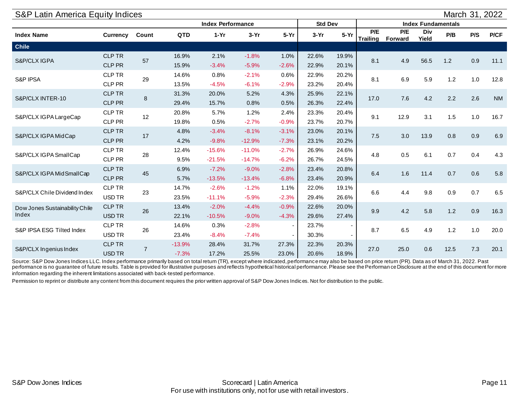<span id="page-10-0"></span>

| S&P Latin America Equity Indices<br>March 31, 2022<br><b>Std Dev</b><br><b>Index Performance</b><br><b>Index Fundamentals</b><br>P/E<br>P/E<br>Div<br>$5-Yr$<br>P/CF<br>$1-Yr$<br>$5-Yr$<br>P/B<br>P/S<br>Count<br><b>QTD</b><br>$3-Yr$<br>$3-Yr$<br><b>Currency</b><br>Yield<br><b>Trailing Forward</b><br><b>CLP TR</b><br>16.9%<br>2.1%<br>$-1.8%$<br>1.0%<br>19.9%<br>22.6%<br>57<br>8.1<br>4.9<br>56.5<br>1.2<br>0.9<br>11.1<br><b>CLP PR</b><br>$-2.6%$<br>15.9%<br>$-3.4%$<br>$-5.9%$<br>22.9%<br>20.1%<br>CLP TR<br>14.6%<br>0.8%<br>$-2.1%$<br>0.6%<br>22.9%<br>20.2%<br>6.9<br>5.9<br>1.2<br>1.0<br>12.8<br>29<br>8.1<br>CLP PR<br>$-4.5%$<br>$-2.9%$<br>13.5%<br>$-6.1%$<br>23.2%<br>20.4%<br><b>CLP TR</b><br>31.3%<br>20.0%<br>5.2%<br>4.3%<br>25.9%<br>22.1%<br>2.2<br>2.6<br><b>NM</b><br>7.6<br>4.2<br>17.0<br>8<br><b>CLP PR</b><br>29.4%<br>15.7%<br>0.8%<br>0.5%<br>26.3%<br>22.4%<br>CLP TR<br>20.8%<br>5.7%<br>1.2%<br>2.4%<br>23.3%<br>20.4%<br>12<br>12.9<br>3.1<br>1.5<br>1.0<br>16.7<br>S&P/CLX IGPA LargeCap<br>9.1<br>CLP PR<br>0.5%<br>$-2.7%$<br>$-0.9%$<br>19.8%<br>23.7%<br>20.7%<br><b>CLP TR</b><br>$-8.1%$<br>4.8%<br>$-3.4%$<br>$-3.1%$<br>23.0%<br>20.1%<br>6.9<br>3.0<br>13.9<br>0.8<br>0.9<br>S&P/CLX IGPA MidCap<br>17<br>7.5<br>CLP PR<br>4.2%<br>$-9.8%$<br>$-12.9%$<br>$-7.3%$<br>20.2%<br>23.1% |               |                |          |          |          |                          |       |       |      |      |      |      |     |      |
|--------------------------------------------------------------------------------------------------------------------------------------------------------------------------------------------------------------------------------------------------------------------------------------------------------------------------------------------------------------------------------------------------------------------------------------------------------------------------------------------------------------------------------------------------------------------------------------------------------------------------------------------------------------------------------------------------------------------------------------------------------------------------------------------------------------------------------------------------------------------------------------------------------------------------------------------------------------------------------------------------------------------------------------------------------------------------------------------------------------------------------------------------------------------------------------------------------------------------------------------------------------------------------------------------------------------------------------------|---------------|----------------|----------|----------|----------|--------------------------|-------|-------|------|------|------|------|-----|------|
|                                                                                                                                                                                                                                                                                                                                                                                                                                                                                                                                                                                                                                                                                                                                                                                                                                                                                                                                                                                                                                                                                                                                                                                                                                                                                                                                            |               |                |          |          |          |                          |       |       |      |      |      |      |     |      |
| <b>Index Name</b>                                                                                                                                                                                                                                                                                                                                                                                                                                                                                                                                                                                                                                                                                                                                                                                                                                                                                                                                                                                                                                                                                                                                                                                                                                                                                                                          |               |                |          |          |          |                          |       |       |      |      |      |      |     |      |
| <b>Chile</b>                                                                                                                                                                                                                                                                                                                                                                                                                                                                                                                                                                                                                                                                                                                                                                                                                                                                                                                                                                                                                                                                                                                                                                                                                                                                                                                               |               |                |          |          |          |                          |       |       |      |      |      |      |     |      |
| S&P/CLX IGPA                                                                                                                                                                                                                                                                                                                                                                                                                                                                                                                                                                                                                                                                                                                                                                                                                                                                                                                                                                                                                                                                                                                                                                                                                                                                                                                               |               |                |          |          |          |                          |       |       |      |      |      |      |     |      |
|                                                                                                                                                                                                                                                                                                                                                                                                                                                                                                                                                                                                                                                                                                                                                                                                                                                                                                                                                                                                                                                                                                                                                                                                                                                                                                                                            |               |                |          |          |          |                          |       |       |      |      |      |      |     |      |
| S&P IPSA                                                                                                                                                                                                                                                                                                                                                                                                                                                                                                                                                                                                                                                                                                                                                                                                                                                                                                                                                                                                                                                                                                                                                                                                                                                                                                                                   |               |                |          |          |          |                          |       |       |      |      |      |      |     |      |
|                                                                                                                                                                                                                                                                                                                                                                                                                                                                                                                                                                                                                                                                                                                                                                                                                                                                                                                                                                                                                                                                                                                                                                                                                                                                                                                                            |               |                |          |          |          |                          |       |       |      |      |      |      |     |      |
| S&P/CLX INTER-10                                                                                                                                                                                                                                                                                                                                                                                                                                                                                                                                                                                                                                                                                                                                                                                                                                                                                                                                                                                                                                                                                                                                                                                                                                                                                                                           |               |                |          |          |          |                          |       |       |      |      |      |      |     |      |
|                                                                                                                                                                                                                                                                                                                                                                                                                                                                                                                                                                                                                                                                                                                                                                                                                                                                                                                                                                                                                                                                                                                                                                                                                                                                                                                                            |               |                |          |          |          |                          |       |       |      |      |      |      |     |      |
|                                                                                                                                                                                                                                                                                                                                                                                                                                                                                                                                                                                                                                                                                                                                                                                                                                                                                                                                                                                                                                                                                                                                                                                                                                                                                                                                            |               |                |          |          |          |                          |       |       |      |      |      |      |     |      |
|                                                                                                                                                                                                                                                                                                                                                                                                                                                                                                                                                                                                                                                                                                                                                                                                                                                                                                                                                                                                                                                                                                                                                                                                                                                                                                                                            |               |                |          |          |          |                          |       |       |      |      |      |      |     |      |
|                                                                                                                                                                                                                                                                                                                                                                                                                                                                                                                                                                                                                                                                                                                                                                                                                                                                                                                                                                                                                                                                                                                                                                                                                                                                                                                                            |               |                |          |          |          |                          |       |       |      |      |      |      |     |      |
| S&P/CLX IGPA SmallCap                                                                                                                                                                                                                                                                                                                                                                                                                                                                                                                                                                                                                                                                                                                                                                                                                                                                                                                                                                                                                                                                                                                                                                                                                                                                                                                      | CLP TR        | 28             | 12.4%    | $-15.6%$ | $-11.0%$ | $-2.7%$                  | 26.9% | 24.6% | 4.8  | 0.5  | 6.1  | 0.7  | 0.4 | 4.3  |
|                                                                                                                                                                                                                                                                                                                                                                                                                                                                                                                                                                                                                                                                                                                                                                                                                                                                                                                                                                                                                                                                                                                                                                                                                                                                                                                                            | CLP PR        |                | 9.5%     | $-21.5%$ | $-14.7%$ | $-6.2%$                  | 26.7% | 24.5% |      |      |      |      |     |      |
| S&P/CLX IGPA MidSmallCap                                                                                                                                                                                                                                                                                                                                                                                                                                                                                                                                                                                                                                                                                                                                                                                                                                                                                                                                                                                                                                                                                                                                                                                                                                                                                                                   | <b>CLP TR</b> | 45             | 6.9%     | $-7.2%$  | $-9.0%$  | $-2.8%$                  | 23.4% | 20.8% | 6.4  | 1.6  | 11.4 | 0.7  | 0.6 | 5.8  |
|                                                                                                                                                                                                                                                                                                                                                                                                                                                                                                                                                                                                                                                                                                                                                                                                                                                                                                                                                                                                                                                                                                                                                                                                                                                                                                                                            | <b>CLP PR</b> |                | 5.7%     | $-13.5%$ | $-13.4%$ | $-6.8%$                  | 23.4% | 20.9% |      |      |      |      |     |      |
| S&P/CLX Chile Dividend Index                                                                                                                                                                                                                                                                                                                                                                                                                                                                                                                                                                                                                                                                                                                                                                                                                                                                                                                                                                                                                                                                                                                                                                                                                                                                                                               | CLP TR        | 23             | 14.7%    | $-2.6%$  | $-1.2%$  | 1.1%                     | 22.0% | 19.1% | 6.6  | 4.4  | 9.8  | 0.9  | 0.7 | 6.5  |
|                                                                                                                                                                                                                                                                                                                                                                                                                                                                                                                                                                                                                                                                                                                                                                                                                                                                                                                                                                                                                                                                                                                                                                                                                                                                                                                                            | USD TR        |                | 23.5%    | $-11.1%$ | $-5.9%$  | $-2.3%$                  | 29.4% | 26.6% |      |      |      |      |     |      |
| Dow Jones Sustainability Chile                                                                                                                                                                                                                                                                                                                                                                                                                                                                                                                                                                                                                                                                                                                                                                                                                                                                                                                                                                                                                                                                                                                                                                                                                                                                                                             | <b>CLP TR</b> | 26             | 13.4%    | $-2.0%$  | $-4.4%$  | $-0.9%$                  | 22.6% | 20.0% | 9.9  | 4.2  | 5.8  | 1.2  | 0.9 | 16.3 |
| Index                                                                                                                                                                                                                                                                                                                                                                                                                                                                                                                                                                                                                                                                                                                                                                                                                                                                                                                                                                                                                                                                                                                                                                                                                                                                                                                                      | USD TR        |                | 22.1%    | $-10.5%$ | $-9.0%$  | $-4.3%$                  | 29.6% | 27.4% |      |      |      |      |     |      |
| S&P IPSA ESG Tilted Index                                                                                                                                                                                                                                                                                                                                                                                                                                                                                                                                                                                                                                                                                                                                                                                                                                                                                                                                                                                                                                                                                                                                                                                                                                                                                                                  | CLP TR        | 26             | 14.6%    | 0.3%     | $-2.8%$  | $\overline{\phantom{a}}$ | 23.7% |       | 8.7  | 6.5  | 4.9  | 1.2  | 1.0 | 20.0 |
|                                                                                                                                                                                                                                                                                                                                                                                                                                                                                                                                                                                                                                                                                                                                                                                                                                                                                                                                                                                                                                                                                                                                                                                                                                                                                                                                            | USD TR        |                | 23.4%    | $-8.4%$  | $-7.4%$  | $\blacksquare$           | 30.3% |       |      |      |      |      |     |      |
| S&P/CLX Ingenius Index                                                                                                                                                                                                                                                                                                                                                                                                                                                                                                                                                                                                                                                                                                                                                                                                                                                                                                                                                                                                                                                                                                                                                                                                                                                                                                                     | <b>CLP TR</b> | $\overline{7}$ | $-13.9%$ | 28.4%    | 31.7%    | 27.3%                    | 22.3% | 20.3% | 27.0 | 25.0 | 0.6  | 12.5 | 7.3 | 20.1 |
|                                                                                                                                                                                                                                                                                                                                                                                                                                                                                                                                                                                                                                                                                                                                                                                                                                                                                                                                                                                                                                                                                                                                                                                                                                                                                                                                            | USD TR        |                | $-7.3%$  | 17.2%    | 25.5%    | 23.0%                    | 20.6% | 18.9% |      |      |      |      |     |      |

Source: S&P Dow Jones Indices LLC. Index performance primarily based on total return (TR), except where indicated, performance may also be based on price return (PR). Data as of March 31, 2022. Past performance is no guarantee of future results. Table is provided for illustrative purposes and reflects hypothetical historical performance. Please see the Performan ce Disclosure at the end of this document for more information regarding the inherent limitations associated with back-tested performance.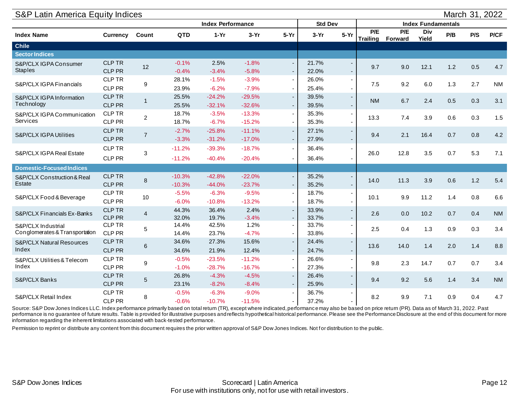| S&P Latin America Equity Indices                     |                                |                 |                      |                          |                      |                                                      |                |                                                      |                        |                |                           |     | March 31, 2022 |           |
|------------------------------------------------------|--------------------------------|-----------------|----------------------|--------------------------|----------------------|------------------------------------------------------|----------------|------------------------------------------------------|------------------------|----------------|---------------------------|-----|----------------|-----------|
|                                                      |                                |                 |                      | <b>Index Performance</b> |                      |                                                      | <b>Std Dev</b> |                                                      |                        |                | <b>Index Fundamentals</b> |     |                |           |
| <b>Index Name</b>                                    | <b>Currency</b>                | Count           | <b>QTD</b>           | $1-Yr$                   | $3-Yr$               | $5-Yr$                                               | $3-Yr$         | $5-Yr$                                               | P/E<br><b>Trailing</b> | P/E<br>Forward | Div<br>Yield              | P/B | P/S            | P/CF      |
| <b>Chile</b>                                         |                                |                 |                      |                          |                      |                                                      |                |                                                      |                        |                |                           |     |                |           |
| <b>Sector Indices</b>                                |                                |                 |                      |                          |                      |                                                      |                |                                                      |                        |                |                           |     |                |           |
| S&P/CLX IGPA Consumer<br><b>Staples</b>              | <b>CLP TR</b><br><b>CLP PR</b> | 12              | $-0.1%$<br>$-0.4%$   | 2.5%<br>$-3.4%$          | $-1.8%$<br>$-5.8%$   | $\overline{\phantom{a}}$<br>$\overline{\phantom{a}}$ | 21.7%<br>22.0% | $\overline{\phantom{a}}$<br>$\overline{\phantom{a}}$ | 9.7                    | 9.0            | 12.1                      | 1.2 | 0.5            | 4.7       |
| S&P/CLX IGPA Financials                              | <b>CLP TR</b><br>CLP PR        | 9               | 28.1%<br>23.9%       | $-1.5%$<br>$-6.2%$       | $-3.9%$<br>$-7.9%$   | $\overline{\phantom{a}}$<br>$\overline{\phantom{a}}$ | 26.0%<br>25.4% | $\overline{\phantom{a}}$<br>$\overline{\phantom{a}}$ | 7.5                    | 9.2            | 6.0                       | 1.3 | 2.7            | <b>NM</b> |
| S&P/CLX IGPA Information<br>Technology               | <b>CLP TR</b><br><b>CLP PR</b> | $\mathbf{1}$    | 25.5%<br>25.5%       | $-24.2%$<br>$-32.1%$     | $-29.5%$<br>$-32.6%$ | $\overline{\phantom{a}}$<br>÷                        | 39.5%<br>39.5% | $\overline{\phantom{a}}$                             | <b>NM</b>              | 6.7            | 2.4                       | 0.5 | 0.3            | 3.1       |
| S&P/CLX IGPA Communication<br>Services               | CLP TR<br>CLP PR               | $\overline{2}$  | 18.7%<br>18.7%       | $-3.5%$<br>$-6.7%$       | $-13.3%$<br>$-15.2%$ | $\overline{\phantom{a}}$<br>$\overline{\phantom{a}}$ | 35.3%<br>35.3% | $\blacksquare$<br>$\blacksquare$                     | 13.3                   | 7.4            | 3.9                       | 0.6 | 0.3            | 1.5       |
| S&P/CLX IGPA Utilities                               | <b>CLP TR</b><br>CLP PR        | $\overline{7}$  | $-2.7%$<br>$-3.3%$   | $-25.8%$<br>$-31.2%$     | $-11.1%$<br>$-17.0%$ | $\overline{\phantom{a}}$<br>$\overline{\phantom{a}}$ | 27.1%<br>27.9% |                                                      | 9.4                    | 2.1            | 16.4                      | 0.7 | 0.8            | 4.2       |
| S&P/CLX IGPA Real Estate                             | <b>CLP TR</b><br>CLP PR        | $\mathfrak{B}$  | $-11.2%$<br>$-11.2%$ | $-39.3%$<br>$-40.4%$     | $-18.7%$<br>$-20.4%$ | $\overline{\phantom{a}}$<br>$\overline{\phantom{a}}$ | 36.4%<br>36.4% |                                                      | 26.0                   | 12.8           | 3.5                       | 0.7 | 5.3            | 7.1       |
| <b>Domestic-Focused Indices</b>                      |                                |                 |                      |                          |                      |                                                      |                |                                                      |                        |                |                           |     |                |           |
| S&P/CLX Construction & Real<br><b>Estate</b>         | <b>CLP TR</b><br><b>CLP PR</b> | 8               | $-10.3%$<br>$-10.3%$ | $-42.8%$<br>$-44.0%$     | $-22.0%$<br>$-23.7%$ | $\overline{\phantom{a}}$<br>÷                        | 35.2%<br>35.2% | $\overline{\phantom{a}}$<br>$\overline{\phantom{a}}$ | 14.0                   | 11.3           | 3.9                       | 0.6 | 1.2            | 5.4       |
| S&P/CLX Food & Beverage                              | <b>CLP TR</b><br>CLP PR        | 10              | $-5.5%$<br>$-6.0%$   | $-6.3%$<br>$-10.8%$      | $-9.5%$<br>$-13.2%$  | $\overline{\phantom{a}}$<br>$\overline{\phantom{a}}$ | 18.7%<br>18.7% | $\overline{\phantom{a}}$                             | 10.1                   | 9.9            | 11.2                      | 1.4 | 0.8            | 6.6       |
| S&P/CLX Financials Ex-Banks                          | <b>CLP TR</b><br>CLP PR        | $\overline{4}$  | 44.3%<br>32.0%       | 36.4%<br>19.7%           | 2.4%<br>$-3.4%$      | $\overline{\phantom{a}}$<br>÷                        | 33.9%<br>33.7% | $\overline{\phantom{a}}$                             | 2.6                    | 0.0            | 10.2                      | 0.7 | 0.4            | <b>NM</b> |
| S&P/CLX Industrial<br>Conglomerates & Transportation | <b>CLP TR</b><br>CLP PR        | 5               | 14.4%<br>14.4%       | 42.5%<br>23.7%           | 1.2%<br>$-4.7%$      | $\overline{\phantom{a}}$<br>$\overline{\phantom{a}}$ | 33.7%<br>33.8% |                                                      | 2.5                    | 0.4            | 1.3                       | 0.9 | 0.3            | 3.4       |
| <b>S&amp;P/CLX Natural Resources</b><br>Index        | <b>CLP TR</b><br>CLP PR        | $6\phantom{1}6$ | 34.6%<br>34.6%       | 27.3%<br>21.9%           | 15.6%<br>12.4%       | $\overline{\phantom{a}}$<br>÷                        | 24.4%<br>24.7% | $\overline{\phantom{a}}$                             | 13.6                   | 14.0           | 1.4                       | 2.0 | 1.4            | 8.8       |
| S&P/CLX Utilities & Telecom<br>Index                 | <b>CLP TR</b><br>CLP PR        | 9               | $-0.5%$<br>$-1.0%$   | $-23.5%$<br>$-28.7%$     | $-11.2%$<br>$-16.7%$ | $\overline{\phantom{a}}$<br>$\overline{\phantom{a}}$ | 26.6%<br>27.3% | $\blacksquare$<br>$\blacksquare$                     | 9.8                    | 2.3            | 14.7                      | 0.7 | 0.7            | 3.4       |
| S&P/CLX Banks                                        | <b>CLP TR</b><br>CLP PR        | $\sqrt{5}$      | 26.8%<br>23.1%       | $-4.3%$<br>$-8.2%$       | $-4.5%$<br>$-8.4%$   | $\overline{\phantom{a}}$<br>÷                        | 26.4%<br>25.9% | $\overline{\phantom{a}}$<br>$\overline{\phantom{a}}$ | 9.4                    | 9.2            | 5.6                       | 1.4 | 3.4            | <b>NM</b> |
| S&P/CLX Retail Index                                 | CLP TR<br>CLP PR               | 8               | $-0.5%$<br>$-0.6%$   | $-6.3%$<br>$-10.7%$      | $-9.0%$<br>$-11.5%$  | $\overline{\phantom{a}}$<br>$\overline{\phantom{a}}$ | 36.7%<br>37.2% |                                                      | 8.2                    | 9.9            | 7.1                       | 0.9 | 0.4            | 4.7       |

Source: S&P Dow Jones Indices LLC. Index performance primarily based on total return (TR), except where indicated, performance may also be based on price return (PR). Data as of March 31, 2022. Past performance is no guarantee of future results. Table is provided for illustrative purposes and reflects hypothetical historical performance. Please see the Performance Disclosure at the end of this document for more information regarding the inherent limitations associated with back-tested performance.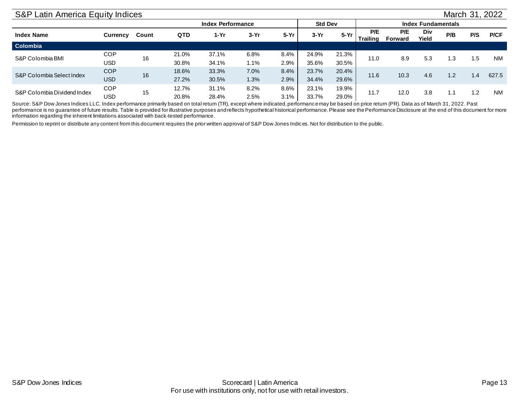# S&P Latin America Equity Indices March 31, 2022

<span id="page-12-0"></span>

|                             |            |       |            | <b>Index Performance</b> |        |        | <b>Std Dev</b> |       | <b>Index Fundamentals</b><br>P/E<br>P/E<br>Div |                |       |                                 |     |           |
|-----------------------------|------------|-------|------------|--------------------------|--------|--------|----------------|-------|------------------------------------------------|----------------|-------|---------------------------------|-----|-----------|
| <b>Index Name</b>           | Currency   | Count | <b>QTD</b> | $1-Yr$                   | $3-Yr$ | $5-Yr$ | $3-Yr$         | 5-Yr  | Trailing                                       | <b>Forward</b> | Yield | P/B                             | P/S | P/CF      |
| Colombia                    |            |       |            |                          |        |        |                |       |                                                |                |       |                                 |     |           |
| S&P Colombia BMI            | COP        | 16    | 21.0%      | 37.1%                    | 6.8%   | 8.4%   | 24.9%          | 21.3% | 11.0                                           | 8.9            |       |                                 |     | <b>NM</b> |
|                             | USD        |       | 30.8%      | 34.1%                    | 1.1%   | 2.9%   | 35.6%          | 30.5% |                                                |                |       | 1.3<br>1.2<br>1.1               |     |           |
| S&P Colombia Select Index   | <b>COP</b> | 16    | 18.6%      | 33.3%                    | 7.0%   | 8.4%   | 23.7%          | 20.4% | 11.6                                           |                |       |                                 |     | 627.5     |
|                             | <b>USD</b> |       | 27.2%      | 30.5%                    | 1.3%   | 2.9%   | 34.4%          | 29.6% |                                                | 10.3           |       |                                 |     |           |
|                             | <b>COP</b> |       | 12.7%      | 31.1%                    | 8.2%   | 8.6%   | 23.1%          | 19.9% |                                                |                |       |                                 |     |           |
| S&P Colombia Dividend Index | USD        | 15    | 20.8%      | 28.4%                    | 2.5%   | 3.1%   | 33.7%          | 29.0% | 11.7                                           | 12.0           | 3.8   | 5.3<br>۱.5<br>4.6<br>1.4<br>1.2 |     | <b>NM</b> |

Source: S&P Dow Jones Indices LLC. Index performance primarily based on total return (TR), except where indicated, performance may be based on price return (PR). Data as of March 31, 2022. Past performance is no guarantee of future results. Table is provided for illustrative purposes and reflects hypothetical historical performance. Please see the Performance Disclosure at the end of this document for more information regarding the inherent limitations associated with back-tested performance.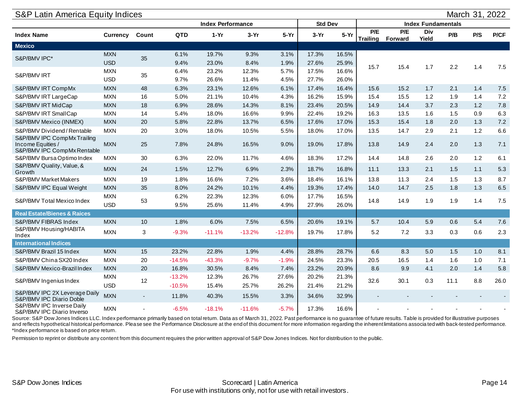<span id="page-13-0"></span>

| S&P Latin America Equity Indices                                                |                          |                          |                      |                          |                |                |                |                |      |                         |                           |      | March 31, 2022 |         |
|---------------------------------------------------------------------------------|--------------------------|--------------------------|----------------------|--------------------------|----------------|----------------|----------------|----------------|------|-------------------------|---------------------------|------|----------------|---------|
|                                                                                 |                          |                          |                      | <b>Index Performance</b> |                |                | <b>Std Dev</b> |                |      |                         | <b>Index Fundamentals</b> |      |                |         |
| <b>Index Name</b>                                                               | Currency                 | Count                    | QTD                  | $1-Yr$                   | $3-Yr$         | $5-Yr$         | $3-Yr$         | $5-Yr$         | P/E  | P/E<br>Trailing Forward | Div<br>Yield              | P/B  | P/S            | P/CF    |
| <b>Mexico</b>                                                                   |                          |                          |                      |                          |                |                |                |                |      |                         |                           |      |                |         |
| S&P/BMV IPC*                                                                    | <b>MXN</b><br><b>USD</b> | 35                       | 6.1%<br>9.4%         | 19.7%<br>23.0%           | 9.3%<br>8.4%   | 3.1%<br>1.9%   | 17.3%<br>27.6% | 16.5%<br>25.9% | 15.7 | 15.4                    | 1.7                       | 2.2  | 1.4            | 7.5     |
| S&P/BMV IRT                                                                     | <b>MXN</b><br><b>USD</b> | 35                       | 6.4%<br>9.7%         | 23.2%<br>26.6%           | 12.3%<br>11.4% | 5.7%<br>4.5%   | 17.5%<br>27.7% | 16.6%<br>26.0% |      |                         |                           |      |                |         |
| S&P/BMV IRT CompMx                                                              | <b>MXN</b>               | 48                       | 6.3%                 | 23.1%                    | 12.6%          | 6.1%           | 17.4%          | 16.4%          | 15.6 | 15.2                    | 1.7                       | 2.1  | 1.4            | 7.5     |
| S&P/BMV IRT LargeCap                                                            | <b>MXN</b>               | 16                       | 5.0%                 | 21.1%                    | 10.4%          | 4.3%           | 16.2%          | 15.9%          | 15.4 | 15.5                    | 1.2                       | 1.9  | 1.4            | 7.2     |
| S&P/BMV IRT MidCap                                                              | <b>MXN</b>               | 18                       | 6.9%                 | 28.6%                    | 14.3%          | 8.1%           | 23.4%          | 20.5%          | 14.9 | 14.4                    | 3.7                       | 2.3  | 1.2            | 7.8     |
| S&P/BMV IRT SmallCap                                                            | <b>MXN</b>               | 14                       | 5.4%                 | 18.0%                    | 16.6%          | 9.9%           | 22.4%          | 19.2%          | 16.3 | 13.5                    | 1.6                       | 1.5  | 0.9            | 6.3     |
| S&P/BMV Mexico (INMEX)                                                          | <b>MXN</b>               | 20                       | 5.8%                 | 22.8%                    | 13.7%          | 6.5%           | 17.6%          | 17.0%          | 15.3 | 15.4                    | 1.8                       | 2.0  | 1.3            | $7.2$   |
| S&P/BMV Dividend / Rentable                                                     | <b>MXN</b>               | 20                       | 3.0%                 | 18.0%                    | 10.5%          | 5.5%           | 18.0%          | 17.0%          | 13.5 | 14.7                    | 2.9                       | 2.1  | $1.2$          | $6.6\,$ |
| S&P/BMV IPC CompMx Trailing<br>Income Equities /<br>S&P/BMV IPC CompMx Rentable | <b>MXN</b>               | 25                       | 7.8%                 | 24.8%                    | 16.5%          | 9.0%           | 19.0%          | 17.8%          | 13.8 | 14.9                    | 2.4                       | 2.0  | 1.3            | 7.1     |
| S&P/BMV Bursa Optimo Index                                                      | <b>MXN</b>               | 30                       | 6.3%                 | 22.0%                    | 11.7%          | 4.6%           | 18.3%          | 17.2%          | 14.4 | 14.8                    | 2.6                       | 2.0  | $1.2$          | 6.1     |
| S&P/BMV Quality, Value, &<br>Growth                                             | <b>MXN</b>               | 24                       | 1.5%                 | 12.7%                    | 6.9%           | 2.3%           | 18.7%          | 16.8%          | 11.1 | 13.3                    | 2.1                       | 1.5  | 1.1            | 5.3     |
| <b>S&amp;P/BMV Market Makers</b>                                                | <b>MXN</b>               | 19                       | 1.8%                 | 16.6%                    | 7.2%           | 3.6%           | 18.4%          | 16.1%          | 13.8 | 11.3                    | 2.4                       | 1.5  | 1.3            | 8.7     |
| S&P/BMV IPC Equal Weight                                                        | <b>MXN</b>               | 35                       | 8.0%                 | 24.2%                    | 10.1%          | 4.4%           | 19.3%          | 17.4%          | 14.0 | 14.7                    | 2.5                       | 1.8  | 1.3            | 6.5     |
| S&P/BMV Total Mexico Index                                                      | <b>MXN</b><br><b>USD</b> | 53                       | 6.2%<br>9.5%         | 22.3%<br>25.6%           | 12.3%<br>11.4% | 6.0%<br>4.9%   | 17.7%<br>27.9% | 16.5%<br>26.0% | 14.8 | 14.9                    | 1.9                       | 1.9  | 1.4            | 7.5     |
| <b>Real Estate/Bienes &amp; Raices</b>                                          |                          |                          |                      |                          |                |                |                |                |      |                         |                           |      |                |         |
| S&P/BMV FIBRAS Index                                                            | <b>MXN</b>               | 10                       | 1.8%                 | 6.0%                     | 7.5%           | 6.5%           | 20.6%          | 19.1%          | 5.7  | 10.4                    | 5.9                       | 0.6  | 5.4            | 7.6     |
| S&P/BMV Housing/HABITA<br>Index                                                 | <b>MXN</b>               | 3                        | $-9.3%$              | $-11.1%$                 | $-13.2%$       | $-12.8%$       | 19.7%          | 17.8%          | 5.2  | 7.2                     | 3.3                       | 0.3  | 0.6            | 2.3     |
| <b>International Indices</b>                                                    |                          |                          |                      |                          |                |                |                |                |      |                         |                           |      |                |         |
| S&P/BMV Brazil 15 Index                                                         | <b>MXN</b>               | 15                       | 23.2%                | 22.8%                    | 1.9%           | 4.4%           | 28.8%          | 28.7%          | 6.6  | 8.3                     | 5.0                       | 1.5  | 1.0            | 8.1     |
| S&P/BMV China SX20 Index                                                        | <b>MXN</b>               | 20                       | $-14.5%$             | $-43.3%$                 | $-9.7%$        | $-1.9%$        | 24.5%          | 23.3%          | 20.5 | 16.5                    | 1.4                       | 1.6  | 1.0            | 7.1     |
| S&P/BMV Mexico-Brazil Index                                                     | <b>MXN</b>               | 20                       | 16.8%                | 30.5%                    | 8.4%           | 7.4%           | 23.2%          | 20.9%          | 8.6  | 9.9                     | 4.1                       | 2.0  | 1.4            | 5.8     |
| S&P/BMV Ingenius Index                                                          | <b>MXN</b><br><b>USD</b> | 12                       | $-13.2%$<br>$-10.5%$ | 12.3%<br>15.4%           | 26.7%<br>25.7% | 27.6%<br>26.2% | 20.2%<br>21.4% | 21.3%<br>21.2% | 32.6 | 30.1                    | 0.3                       | 11.1 | 8.8            | 26.0    |
| S&P/BMV IPC 2X Leverage Daily<br>S&P/BMV IPC Diario Doble                       | <b>MXN</b>               | $\overline{\phantom{a}}$ | 11.8%                | 40.3%                    | 15.5%          | 3.3%           | 34.6%          | 32.9%          |      |                         |                           |      |                |         |
| S&P/BMV IPC Inverse Daily<br>S&P/BMV IPC Diario Inverso                         | <b>MXN</b>               |                          | $-6.5%$              | $-18.1%$                 | $-11.6%$       | $-5.7%$        | 17.3%          | 16.6%          |      |                         |                           |      |                |         |

Source: S&P Dow Jones Indices LLC. Index performance primarily based on total return. Data as of March 31, 2022. Past performance is no guarantee of future results. Table is provided for illustrative purposes and reflects hypothetical historical performance. Please see the Performance Disclosure at the end of this document for more information regarding the inherent limitations associa ted with back-tested performance. \*Index performance is based on price return.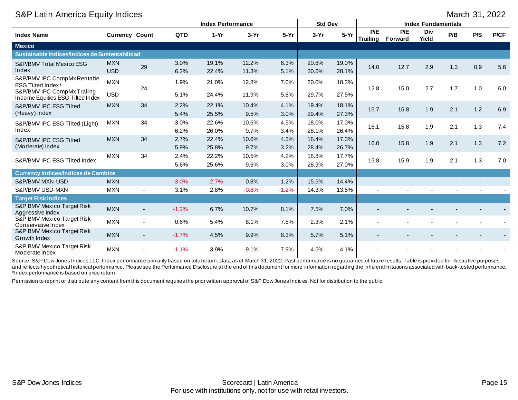| S&P Latin America Equity Indices                                |                          |                |              |                          |                |              |                |                |                        |                |                           |     | March 31, 2022 |      |
|-----------------------------------------------------------------|--------------------------|----------------|--------------|--------------------------|----------------|--------------|----------------|----------------|------------------------|----------------|---------------------------|-----|----------------|------|
|                                                                 |                          |                |              | <b>Index Performance</b> |                |              | <b>Std Dev</b> |                |                        |                | <b>Index Fundamentals</b> |     |                |      |
| <b>Index Name</b>                                               | <b>Currency Count</b>    |                | <b>QTD</b>   | $1-Yr$                   | $3-Yr$         | $5-Yr$       | $3-Yr$         | $5-Yr$         | P/E<br><b>Trailing</b> | P/E<br>Forward | <b>Div</b><br>Yield       | P/B | P/S            | P/CF |
| <b>Mexico</b>                                                   |                          |                |              |                          |                |              |                |                |                        |                |                           |     |                |      |
| Sustainable Indices/Indices de Sustentabilidad                  |                          |                |              |                          |                |              |                |                |                        |                |                           |     |                |      |
| S&P/BMV Total Mexico ESG<br>Index                               | <b>MXN</b><br><b>USD</b> | 29             | 3.0%<br>6.2% | 19.1%<br>22.4%           | 12.2%<br>11.3% | 6.3%<br>5.1% | 20.8%<br>30.6% | 19.0%<br>28.1% | 14.0                   | 12.7           | 2.9                       | 1.3 | 0.9            | 5.6  |
| S&P/BMV IPC CompMx Rentable<br>ESG Tilted Index/                | <b>MXN</b>               | 24             | 1.9%         | 21.0%                    | 12.8%          | 7.0%         | 20.0%          | 18.3%          | 12.8                   | 15.0           | 2.7                       | 1.7 | 1.0            | 6.0  |
| S&P/BMV IPC CompMx Trailing<br>Income Equities ESG Tilted Index | <b>USD</b>               |                | 5.1%         | 24.4%                    | 11.9%          | 5.8%         | 29.7%          | 27.5%          |                        |                |                           |     |                |      |
| S&P/BMV IPC ESG Tilted                                          | <b>MXN</b>               | 34             | 2.2%         | 22.1%                    | 10.4%          | 4.1%         | 19.4%          | 18.1%          | 15.7                   | 15.8           | 1.9                       | 2.1 | 1.2            | 6.9  |
| (Heavy) Index                                                   |                          |                | 5.4%         | 25.5%                    | 9.5%           | 3.0%         | 29.4%          | 27.3%          |                        |                |                           |     |                |      |
| S&P/BMV IPC ESG Tilted (Light)                                  | <b>MXN</b>               | 34             | 3.0%         | 22.6%                    | 10.6%          | 4.5%         | 18.0%          | 17.0%          | 16.1                   | 15.8           | 1.9                       | 2.1 | 1.3            | 7.4  |
| Index                                                           |                          |                | 6.2%         | 26.0%                    | 9.7%           | 3.4%         | 28.1%          | 26.4%          |                        |                |                           |     |                |      |
| S&P/BMV IPC ESG Tilted                                          | <b>MXN</b>               | 34             | 2.7%         | 22.4%                    | 10.6%          | 4.3%         | 18.4%          | 17.3%          | 16.0                   | 15.8           | 1.9                       | 2.1 | 1.3            | 7.2  |
| (Moderate) Index                                                |                          |                | 5.9%         | 25.8%                    | 9.7%           | 3.2%         | 28.4%          | 26.7%          |                        |                |                           |     |                |      |
| S&P/BMV IPC ESG Tilted Index                                    | <b>MXN</b>               | 34             | 2.4%         | 22.2%                    | 10.5%          | 4.2%         | 18.8%          | 17.7%          | 15.8                   | 15.9           | 1.9                       | 2.1 | 1.3            | 7.0  |
|                                                                 |                          |                | 5.6%         | 25.6%                    | 9.6%           | 3.0%         | 28.9%          | 27.0%          |                        |                |                           |     |                |      |
| <b>Currency Indices/Indices de Cambios</b>                      |                          |                |              |                          |                |              |                |                |                        |                |                           |     |                |      |
| S&P/BMV MXN-USD                                                 | <b>MXN</b>               | $\sim$         | $-3.0%$      | $-2.7%$                  | 0.8%           | 1.2%         | 15.6%          | 14.4%          |                        |                |                           |     |                |      |
| S&P/BMV USD-MXN                                                 | <b>MXN</b>               | $\blacksquare$ | 3.1%         | 2.8%                     | $-0.8%$        | $-1.2%$      | 14.3%          | 13.5%          |                        |                |                           |     |                |      |
| <b>Target Risk Indices</b>                                      |                          |                |              |                          |                |              |                |                |                        |                |                           |     |                |      |
| <b>S&amp;P BMV Mexico Target Risk</b><br>Aggressive Index       | <b>MXN</b>               |                | $-1.2%$      | 6.7%                     | 10.7%          | 8.1%         | 7.5%           | 7.0%           |                        |                |                           |     |                |      |
| S&P BMV Mexico Target Risk<br>Conservative Index                | <b>MXN</b>               |                | 0.6%         | 5.4%                     | 8.1%           | 7.8%         | 2.3%           | 2.1%           |                        |                |                           |     |                |      |
| S&P BMV Mexico Target Risk<br>Growth Index                      | <b>MXN</b>               |                | $-1.7%$      | 4.5%                     | 9.9%           | 8.3%         | 5.7%           | 5.1%           |                        |                |                           |     |                |      |
| S&P BMV Mexico Target Risk<br>Moderate Index                    | <b>MXN</b>               |                | $-1.1%$      | 3.9%                     | 9.1%           | 7.9%         | 4.6%           | 4.1%           |                        |                |                           |     |                |      |

Source: S&P Dow Jones Indices LLC. Index performance primarily based on total return. Data as of March 31, 2022. Past performance is no guarantee of future results. Table is provided for illustrative purposes and reflects hypothetical historical performance. Please see the Performance Disclosure at the end of this document for more information regarding the inherent limitations associated with back-tested performance. \*Index performance is based on price return.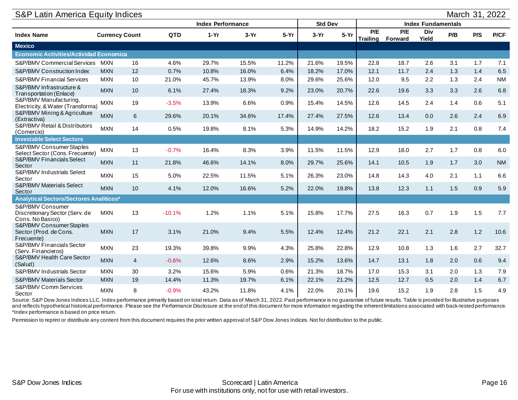| <b>S&amp;P Latin America Equity Indices</b>                            |                       |                |          |                          |        |        |                |        |                        |                |                           |     |     | March 31, 2022 |
|------------------------------------------------------------------------|-----------------------|----------------|----------|--------------------------|--------|--------|----------------|--------|------------------------|----------------|---------------------------|-----|-----|----------------|
|                                                                        |                       |                |          | <b>Index Performance</b> |        |        | <b>Std Dev</b> |        |                        |                | <b>Index Fundamentals</b> |     |     |                |
| <b>Index Name</b>                                                      | <b>Currency Count</b> |                | QTD      | $1-Yr$                   | $3-Yr$ | $5-Yr$ | $3-Yr$         | $5-Yr$ | P/E<br><b>Trailing</b> | P/E<br>Forward | Div<br>Yield              | P/B | P/S | P/CF           |
| <b>Mexico</b>                                                          |                       |                |          |                          |        |        |                |        |                        |                |                           |     |     |                |
| <b>Economic Activities/Actividad Economica</b>                         |                       |                |          |                          |        |        |                |        |                        |                |                           |     |     |                |
| <b>S&amp;P/BMV Commercial Services</b>                                 | MXN                   | 16             | 4.6%     | 29.7%                    | 15.5%  | 11.2%  | 21.6%          | 19.5%  | 22.8                   | 18.7           | 2.6                       | 3.1 | 1.7 | 7.1            |
| S&P/BMV Construction Index                                             | <b>MXN</b>            | 12             | 0.7%     | 10.8%                    | 16.0%  | 6.4%   | 18.2%          | 17.0%  | 12.1                   | 11.7           | 2.4                       | 1.3 | 1.4 | 6.5            |
| <b>S&amp;P/BMV Financial Services</b>                                  | <b>MXN</b>            | 10             | 21.0%    | 45.7%                    | 13.9%  | 8.0%   | 29.6%          | 25.6%  | 12.0                   | 9.5            | 2.2                       | 1.3 | 2.4 | <b>NM</b>      |
| S&P/BMV Infrastructure &<br>Transportation (Enlace)                    | <b>MXN</b>            | 10             | 6.1%     | 27.4%                    | 18.3%  | 9.2%   | 23.0%          | 20.7%  | 22.6                   | 19.6           | 3.3                       | 3.3 | 2.6 | 6.8            |
| S&P/BMV Manufacturing,<br>Electricity, & Water (Transforma)            | <b>MXN</b>            | 19             | $-3.5%$  | 13.9%                    | 6.6%   | 0.9%   | 15.4%          | 14.5%  | 12.6                   | 14.5           | 2.4                       | 1.4 | 0.6 | 5.1            |
| S&P/BMV Mining & Agriculture<br>(Extractiva)                           | <b>MXN</b>            | 6              | 29.6%    | 20.1%                    | 34.6%  | 17.4%  | 27.4%          | 27.5%  | 12.6                   | 13.4           | 0.0                       | 2.6 | 2.4 | 6.9            |
| S&P/BMV Retail & Distributors<br>(Comercio)                            | <b>MXN</b>            | 14             | 0.5%     | 19.8%                    | 8.1%   | 5.3%   | 14.9%          | 14.2%  | 18.2                   | 15.2           | 1.9                       | 2.1 | 0.8 | 7.4            |
| <b>Investable Select Sectors</b>                                       |                       |                |          |                          |        |        |                |        |                        |                |                           |     |     |                |
| S&P/BMV Consumer Staples<br>Select Sector (Cons. Frecuente)            | <b>MXN</b>            | 13             | $-0.7%$  | 16.4%                    | 8.3%   | 3.9%   | 11.5%          | 11.5%  | 12.9                   | 18.0           | 2.7                       | 1.7 | 0.8 | 6.0            |
| S&P/BMV Financials Select<br>Sector                                    | <b>MXN</b>            | 11             | 21.8%    | 46.6%                    | 14.1%  | 8.0%   | 29.7%          | 25.6%  | 14.1                   | 10.5           | 1.9                       | 1.7 | 3.0 | <b>NM</b>      |
| S&P/BMV Industrials Select<br>Sector                                   | <b>MXN</b>            | 15             | 5.0%     | 22.5%                    | 11.5%  | 5.1%   | 26.3%          | 23.0%  | 14.8                   | 14.3           | 4.0                       | 2.1 | 1.1 | 6.6            |
| S&P/BMV Materials Select<br>Sector                                     | <b>MXN</b>            | 10             | 4.1%     | 12.0%                    | 16.6%  | 5.2%   | 22.0%          | 19.8%  | 13.8                   | 12.3           | 1.1                       | 1.5 | 0.9 | 5.9            |
| Analytical Sectors/Sectores Analiticos*                                |                       |                |          |                          |        |        |                |        |                        |                |                           |     |     |                |
| S&P/BMV Consumer<br>Discretionary Sector (Serv. de<br>Cons. No Basico) | <b>MXN</b>            | 13             | $-10.1%$ | 1.2%                     | 1.1%   | 5.1%   | 15.8%          | 17.7%  | 27.5                   | 16.3           | 0.7                       | 1.9 | 1.5 | 7.7            |
| S&P/BMV Consumer Staples<br>Sector (Prod. de Cons.<br>Frecuente)       | <b>MXN</b>            | 17             | 3.1%     | 21.0%                    | 9.4%   | 5.5%   | 12.4%          | 12.4%  | 21.2                   | 22.1           | 2.1                       | 2.8 | 1.2 | 10.6           |
| S&P/BMV Financials Sector<br>(Serv. Financieros)                       | <b>MXN</b>            | 23             | 19.3%    | 39.8%                    | 9.9%   | 4.3%   | 25.8%          | 22.8%  | 12.9                   | 10.8           | 1.3                       | 1.6 | 2.7 | 32.7           |
| S&P/BMV Health Care Sector<br>(Salud)                                  | <b>MXN</b>            | $\overline{4}$ | $-0.6%$  | 12.6%                    | 8.6%   | 2.9%   | 15.2%          | 13.6%  | 14.7                   | 13.1           | 1.8                       | 2.0 | 0.6 | 9.4            |
| S&P/BMV Industrials Sector                                             | <b>MXN</b>            | 30             | 3.2%     | 15.6%                    | 5.9%   | 0.6%   | 21.3%          | 18.7%  | 17.0                   | 15.3           | 3.1                       | 2.0 | 1.3 | 7.9            |
| S&P/BMV Materials Sector                                               | <b>MXN</b>            | 19             | 14.4%    | 11.3%                    | 19.7%  | 6.1%   | 22.1%          | 21.2%  | 12.5                   | 12.7           | 0.5                       | 2.0 | 1.4 | 6.7            |
| <b>S&amp;P/BMV Comm Services</b><br>Sector                             | <b>MXN</b>            | 8              | $-0.9%$  | 43.2%                    | 11.8%  | 4.1%   | 22.0%          | 20.1%  | 19.6                   | 15.2           | 1.9                       | 2.8 | 1.5 | 4.9            |

Source: S&P Dow Jones Indices LLC. Index performance primarily based on total return. Data as of March 31, 2022. Past performance is no guarantee of future results. Table is provided for illustrative purposes and reflects hypothetical historical performance. Please see the Performance Disclosure at the end of this document for more information regarding the inherent limitations associated with back-tested performance. \*Index performance is based on price return.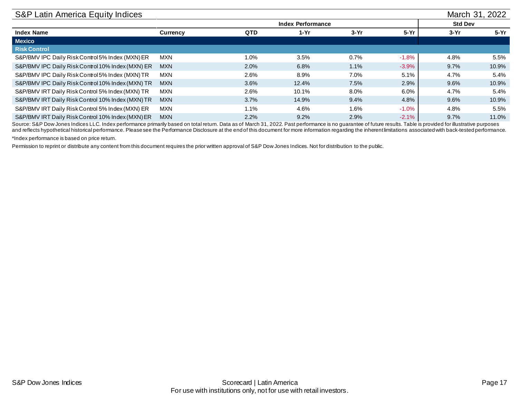| S&P Latin America Equity Indices                  |            |            |                          |        |         | March 31, 2022 |        |  |  |  |  |  |  |
|---------------------------------------------------|------------|------------|--------------------------|--------|---------|----------------|--------|--|--|--|--|--|--|
|                                                   |            |            | <b>Index Performance</b> |        |         | <b>Std Dev</b> |        |  |  |  |  |  |  |
| <b>Index Name</b>                                 | Currency   | <b>QTD</b> | 1-Yr                     | $3-Yr$ | $5-Yr$  | $3-Yr$         | $5-Yr$ |  |  |  |  |  |  |
| <b>Mexico</b>                                     |            |            |                          |        |         |                |        |  |  |  |  |  |  |
| <b>Risk Control</b>                               |            |            |                          |        |         |                |        |  |  |  |  |  |  |
| S&P/BMV IPC Daily Risk Control 5% Index (MXN) ER  | <b>MXN</b> | 1.0%       | $3.5\%$                  | 0.7%   | $-1.8%$ | 4.8%           | 5.5%   |  |  |  |  |  |  |
| S&P/BMV IPC Daily Risk Control 10% Index (MXN) ER | <b>MXN</b> | 2.0%       | 6.8%                     | 1.1%   | $-3.9%$ | 9.7%           | 10.9%  |  |  |  |  |  |  |
| S&P/BMV IPC Daily Risk Control 5% Index (MXN) TR  | <b>MXN</b> | 2.6%       | 8.9%                     | 7.0%   | 5.1%    | 4.7%           | 5.4%   |  |  |  |  |  |  |
| S&P/BMV IPC Daily Risk Control 10% Index (MXN) TR | <b>MXN</b> | 3.6%       | 12.4%                    | 7.5%   | 2.9%    | 9.6%           | 10.9%  |  |  |  |  |  |  |
| S&P/BMV IRT Daily Risk Control 5% Index (MXN) TR  | <b>MXN</b> | 2.6%       | 10.1%                    | 8.0%   | 6.0%    | 4.7%           | 5.4%   |  |  |  |  |  |  |
| S&P/BMV IRT Daily Risk Control 10% Index (MXN) TR | <b>MXN</b> | 3.7%       | 14.9%                    | 9.4%   | 4.8%    | 9.6%           | 10.9%  |  |  |  |  |  |  |
| S&P/BMV IRT Daily Risk Control 5% Index (MXN) ER  | <b>MXN</b> | 1.1%       | 4.6%                     | 1.6%   | $-1.0%$ | 4.8%           | 5.5%   |  |  |  |  |  |  |
| S&P/BMV IRT Daily Risk Control 10% Index (MXN) ER | <b>MXN</b> | 2.2%       | $9.2\%$                  | 2.9%   | $-2.1%$ | 9.7%           | 11.0%  |  |  |  |  |  |  |

Source: S&P Dow Jones Indices LLC. Index performance primarily based on total return. Data as of March 31, 2022. Past performance is no guarantee of future results. Table is provided for illustrative purposes and reflects hypothetical historical performance. Please see the Performance Disclosure at the end of this document for more information regarding the inherent limitations associated with back-tested performance.

\*Index performance is based on price return.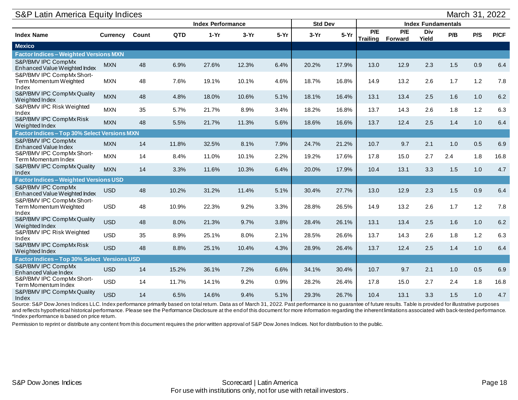| S&P Latin America Equity Indices                             |                          |       |            |                |        |                           | March 31, 2022 |        |                        |                |                     |     |     |      |
|--------------------------------------------------------------|--------------------------|-------|------------|----------------|--------|---------------------------|----------------|--------|------------------------|----------------|---------------------|-----|-----|------|
|                                                              | <b>Index Performance</b> |       |            | <b>Std Dev</b> |        | <b>Index Fundamentals</b> |                |        |                        |                |                     |     |     |      |
| <b>Index Name</b>                                            | <b>Currency</b>          | Count | <b>QTD</b> | $1-Yr$         | $3-Yr$ | $5-Yr$                    | $3-Yr$         | $5-Yr$ | P/E<br><b>Trailing</b> | P/E<br>Forward | <b>Div</b><br>Yield | P/B | P/S | P/CF |
| <b>Mexico</b>                                                |                          |       |            |                |        |                           |                |        |                        |                |                     |     |     |      |
| <b>Factor Indices - Weighted Versions MXN</b>                |                          |       |            |                |        |                           |                |        |                        |                |                     |     |     |      |
| S&P/BMV IPC CompMx<br>Enhanced Value Weighted Index          | <b>MXN</b>               | 48    | 6.9%       | 27.6%          | 12.3%  | 6.4%                      | 20.2%          | 17.9%  | 13.0                   | 12.9           | 2.3                 | 1.5 | 0.9 | 6.4  |
| S&P/BMV IPC CompMx Short-<br>Term Momentum Weighted<br>Index | <b>MXN</b>               | 48    | 7.6%       | 19.1%          | 10.1%  | 4.6%                      | 18.7%          | 16.8%  | 14.9                   | 13.2           | 2.6                 | 1.7 | 1.2 | 7.8  |
| S&P/BMV IPC CompMx Quality<br>Weighted Index                 | <b>MXN</b>               | 48    | 4.8%       | 18.0%          | 10.6%  | 5.1%                      | 18.1%          | 16.4%  | 13.1                   | 13.4           | 2.5                 | 1.6 | 1.0 | 6.2  |
| S&P/BMV IPC Risk Weighted<br>Index                           | <b>MXN</b>               | 35    | 5.7%       | 21.7%          | 8.9%   | 3.4%                      | 18.2%          | 16.8%  | 13.7                   | 14.3           | 2.6                 | 1.8 | 1.2 | 6.3  |
| S&P/BMV IPC CompMx Risk<br>Weighted Index                    | <b>MXN</b>               | 48    | 5.5%       | 21.7%          | 11.3%  | 5.6%                      | 18.6%          | 16.6%  | 13.7                   | 12.4           | 2.5                 | 1.4 | 1.0 | 6.4  |
| Factor Indices - Top 30% Select Versions MXN                 |                          |       |            |                |        |                           |                |        |                        |                |                     |     |     |      |
| S&P/BMV IPC CompMx<br>Enhanced Value Index                   | <b>MXN</b>               | 14    | 11.8%      | 32.5%          | 8.1%   | 7.9%                      | 24.7%          | 21.2%  | 10.7                   | 9.7            | 2.1                 | 1.0 | 0.5 | 6.9  |
| S&P/BMV IPC CompMx Short-<br>Term Momentum Index             | <b>MXN</b>               | 14    | 8.4%       | 11.0%          | 10.1%  | 2.2%                      | 19.2%          | 17.6%  | 17.8                   | 15.0           | 2.7                 | 2.4 | 1.8 | 16.8 |
| S&P/BMV IPC CompMx Quality<br>Index                          | <b>MXN</b>               | 14    | 3.3%       | 11.6%          | 10.3%  | 6.4%                      | 20.0%          | 17.9%  | 10.4                   | 13.1           | 3.3                 | 1.5 | 1.0 | 4.7  |
| <b>Factor Indices - Weighted Versions USD</b>                |                          |       |            |                |        |                           |                |        |                        |                |                     |     |     |      |
| S&P/BMV IPC CompMx<br>Enhanced Value Weighted Index          | <b>USD</b>               | 48    | 10.2%      | 31.2%          | 11.4%  | 5.1%                      | 30.4%          | 27.7%  | 13.0                   | 12.9           | 2.3                 | 1.5 | 0.9 | 6.4  |
| S&P/BMV IPC CompMx Short-<br>Term Momentum Weighted<br>Index | <b>USD</b>               | 48    | 10.9%      | 22.3%          | 9.2%   | 3.3%                      | 28.8%          | 26.5%  | 14.9                   | 13.2           | 2.6                 | 1.7 | 1.2 | 7.8  |
| S&P/BMV IPC CompMx Quality<br>Weighted Index                 | <b>USD</b>               | 48    | 8.0%       | 21.3%          | 9.7%   | 3.8%                      | 28.4%          | 26.1%  | 13.1                   | 13.4           | 2.5                 | 1.6 | 1.0 | 6.2  |
| S&P/BMV IPC Risk Weighted<br>Index                           | <b>USD</b>               | 35    | 8.9%       | 25.1%          | 8.0%   | 2.1%                      | 28.5%          | 26.6%  | 13.7                   | 14.3           | 2.6                 | 1.8 | 1.2 | 6.3  |
| S&P/BMV IPC CompMx Risk<br>Weighted Index                    | <b>USD</b>               | 48    | 8.8%       | 25.1%          | 10.4%  | 4.3%                      | 28.9%          | 26.4%  | 13.7                   | 12.4           | 2.5                 | 1.4 | 1.0 | 6.4  |
| Factor Indices - Top 30% Select                              | <b>Versions USD</b>      |       |            |                |        |                           |                |        |                        |                |                     |     |     |      |
| S&P/BMV IPC CompMx<br>Enhanced Value Index                   | <b>USD</b>               | 14    | 15.2%      | 36.1%          | 7.2%   | 6.6%                      | 34.1%          | 30.4%  | 10.7                   | 9.7            | 2.1                 | 1.0 | 0.5 | 6.9  |
| S&P/BMV IPC CompMx Short-<br>Term Momentum Index             | <b>USD</b>               | 14    | 11.7%      | 14.1%          | 9.2%   | 0.9%                      | 28.2%          | 26.4%  | 17.8                   | 15.0           | 2.7                 | 2.4 | 1.8 | 16.8 |
| S&P/BMV IPC CompMx Quality<br>Index                          | <b>USD</b>               | 14    | 6.5%       | 14.6%          | 9.4%   | 5.1%                      | 29.3%          | 26.7%  | 10.4                   | 13.1           | 3.3                 | 1.5 | 1.0 | 4.7  |

Source: S&P Dow Jones Indices LLC. Index performance primarily based on total return. Data as of March 31, 2022. Past performance is no guarantee of future results. Table is provided for illustrative purposes and reflects hypothetical historical performance. Please see the Performance Disclosure at the end of this document for more information regarding the inherent limitations associated with back-tested performance. \*Index performance is based on price return.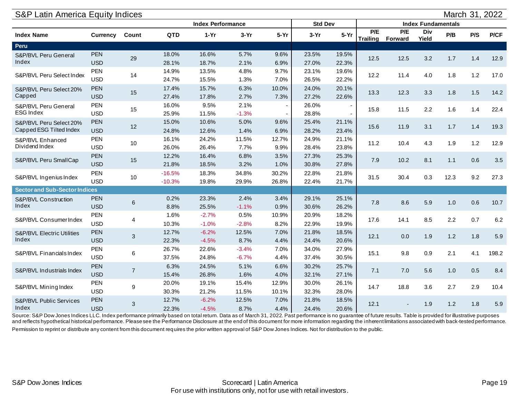<span id="page-18-0"></span>

| S&P Latin America Equity Indices<br>March 31, 2022 |                          |                |                          |                    |                    |                |                |                           |                        |                |              |      |     |       |
|----------------------------------------------------|--------------------------|----------------|--------------------------|--------------------|--------------------|----------------|----------------|---------------------------|------------------------|----------------|--------------|------|-----|-------|
|                                                    |                          |                | <b>Index Performance</b> |                    |                    | <b>Std Dev</b> |                | <b>Index Fundamentals</b> |                        |                |              |      |     |       |
| <b>Index Name</b>                                  | <b>Currency</b>          | Count          | QTD                      | $1-Yr$             | $3-Yr$             | $5-Yr$         | $3-Yr$         | $5-Yr$                    | P/E<br><b>Trailing</b> | P/E<br>Forward | Div<br>Yield | P/B  | P/S | P/CF  |
| Peru                                               |                          |                |                          |                    |                    |                |                |                           |                        |                |              |      |     |       |
| S&P/BVL Peru General<br>Index                      | <b>PEN</b><br><b>USD</b> | 29             | 18.0%<br>28.1%           | 16.6%<br>18.7%     | 5.7%<br>2.1%       | 9.6%<br>6.9%   | 23.5%<br>27.0% | 19.5%<br>22.3%            | 12.5                   | 12.5           | 3.2          | 1.7  | 1.4 | 12.9  |
| S&P/BVL Peru Select Index                          | PEN<br><b>USD</b>        | 14             | 14.9%<br>24.7%           | 13.5%<br>15.5%     | 4.8%<br>1.3%       | 9.7%<br>7.0%   | 23.1%<br>26.5% | 19.6%<br>22.2%            | 12.2                   | 11.4           | 4.0          | 1.8  | 1.2 | 17.0  |
| S&P/BVL Peru Select 20%<br>Capped                  | <b>PEN</b><br><b>USD</b> | 15             | 17.4%<br>27.4%           | 15.7%<br>17.8%     | 6.3%<br>2.7%       | 10.0%<br>7.3%  | 24.0%<br>27.2% | 20.1%<br>22.6%            | 13.3                   | 12.3           | 3.3          | 1.8  | 1.5 | 14.2  |
| S&P/BVL Peru General<br><b>ESG Index</b>           | PEN<br><b>USD</b>        | 15             | 16.0%<br>25.9%           | 9.5%<br>11.5%      | 2.1%<br>$-1.3%$    |                | 26.0%<br>28.8% |                           | 15.8                   | 11.5           | 2.2          | 1.6  | 1.4 | 22.4  |
| S&P/BVL Peru Select 20%<br>Capped ESG Tilted Index | PEN<br><b>USD</b>        | 12             | 15.0%<br>24.8%           | 10.6%<br>12.6%     | 5.0%<br>1.4%       | 9.6%<br>6.9%   | 25.4%<br>28.2% | 21.1%<br>23.4%            | 15.6                   | 11.9           | 3.1          | 1.7  | 1.4 | 19.3  |
| S&P/BVL Enhanced<br>Dividend Index                 | <b>PEN</b><br><b>USD</b> | 10             | 16.1%<br>26.0%           | 24.2%<br>26.4%     | 11.5%<br>7.7%      | 12.7%<br>9.9%  | 24.9%<br>28.4% | 21.1%<br>23.8%            | 11.2                   | 10.4           | 4.3          | 1.9  | 1.2 | 12.9  |
| S&P/BVL Peru SmallCap                              | <b>PEN</b><br><b>USD</b> | 15             | 12.2%<br>21.8%           | 16.4%<br>18.5%     | 6.8%<br>3.2%       | 3.5%<br>1.0%   | 27.3%<br>30.8% | 25.3%<br>27.8%            | 7.9                    | 10.2           | 8.1          | 1.1  | 0.6 | 3.5   |
| S&P/BVL Ingenius Index                             | <b>PEN</b><br><b>USD</b> | 10             | $-16.5%$<br>$-10.3%$     | 18.3%<br>19.8%     | 34.8%<br>29.9%     | 30.2%<br>26.8% | 22.8%<br>22.4% | 21.8%<br>21.7%            | 31.5                   | 30.4           | 0.3          | 12.3 | 9.2 | 27.3  |
| <b>Sector and Sub-Sector Indices</b>               |                          |                |                          |                    |                    |                |                |                           |                        |                |              |      |     |       |
| S&P/BVL Construction<br>Index                      | <b>PEN</b><br><b>USD</b> | 6              | 0.2%<br>8.8%             | 23.3%<br>25.5%     | 2.4%<br>$-1.1%$    | 3.4%<br>0.9%   | 29.1%<br>30.6% | 25.1%<br>26.2%            | 7.8                    | 8.6            | 5.9          | 1.0  | 0.6 | 10.7  |
| S&P/BVL Consumer Index                             | <b>PEN</b><br><b>USD</b> | 4              | 1.6%<br>10.3%            | $-2.7%$<br>$-1.0%$ | 0.5%<br>$-2.8%$    | 10.9%<br>8.2%  | 20.9%<br>22.9% | 18.2%<br>19.9%            | 17.6                   | 14.1           | 8.5          | 2.2  | 0.7 | 6.2   |
| <b>S&amp;P/BVL Electric Utilities</b><br>Index     | PEN<br><b>USD</b>        | 3              | 12.7%<br>22.3%           | $-6.2%$<br>$-4.5%$ | 12.5%<br>8.7%      | 7.0%<br>4.4%   | 21.8%<br>24.4% | 18.5%<br>20.6%            | 12.1                   | 0.0            | 1.9          | 1.2  | 1.8 | 5.9   |
| S&P/BVL Financials Index                           | PEN<br><b>USD</b>        | 6              | 26.7%<br>37.5%           | 22.6%<br>24.8%     | $-3.4%$<br>$-6.7%$ | 7.0%<br>4.4%   | 34.0%<br>37.4% | 27.9%<br>30.5%            | 15.1                   | 9.8            | 0.9          | 2.1  | 4.1 | 198.2 |
| S&P/BVL Industrials Index                          | <b>PEN</b><br><b>USD</b> | $\overline{7}$ | 6.3%<br>15.4%            | 24.5%<br>26.8%     | 5.1%<br>1.6%       | 6.6%<br>4.0%   | 30.2%<br>32.1% | 25.7%<br>27.1%            | 7.1                    | 7.0            | 5.6          | 1.0  | 0.5 | 8.4   |
| S&P/BVL Mining Index                               | <b>PEN</b><br><b>USD</b> | 9              | 20.0%<br>30.3%           | 19.1%<br>21.2%     | 15.4%<br>11.5%     | 12.9%<br>10.1% | 30.0%<br>32.3% | 26.1%<br>28.0%            | 14.7                   | 18.8           | 3.6          | 2.7  | 2.9 | 10.4  |
| S&P/BVL Public Services<br>Index                   | PEN<br><b>USD</b>        | $\mathfrak{S}$ | 12.7%<br>22.3%           | $-6.2%$<br>$-4.5%$ | 12.5%<br>8.7%      | 7.0%<br>4.4%   | 21.8%<br>24.4% | 18.5%<br>20.6%            | 12.1                   |                | 1.9          | 1.2  | 1.8 | 5.9   |

Source: S&P Dow Jones Indices LLC. Index performance primarily based on total return. Data as of March 31, 2022. Past performance is no guarantee of future results. Table is provided for illustrative purposes and reflects hypothetical historical performance. Please see the Performance Disclosure at the end of this document for more information regarding the inherent limitations associated with back-tested performance. Permission to reprint or distribute any content from this document requires the prior written approval of S&P Dow Jones Indices. Not for distribution to the public.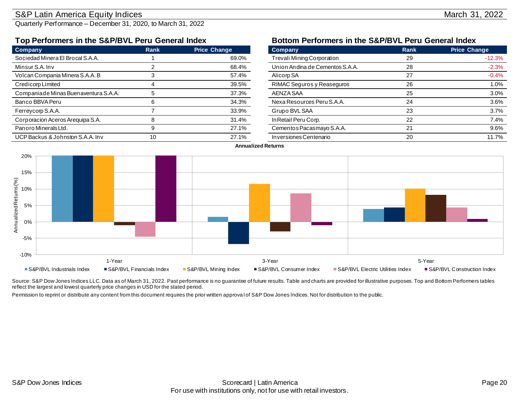### <span id="page-19-0"></span>S&P Latin America Equity Indices **March 31, 2022**

Quarterly Performance – December 31, 2020, to March 31, 2022

| Company                              | Rank | <b>Price Change</b> | Company                         | Rank | <b>Price Change</b> |
|--------------------------------------|------|---------------------|---------------------------------|------|---------------------|
| Sociedad Minera El Brocal S.A.A.     |      | 69.0%               | Trevali Mining Corporation      | 29   | $-12.3%$            |
| Minsur S.A. Inv                      |      | 68.4%               | Union Andina de Cementos S.A.A. | 28   | $-2.3%$             |
| Volcan Compania Minera S.A.A. B      |      | 57.4%               | Alicorp SA                      | 27   | $-0.4%$             |
| Credicorp Limited                    |      | 39.5%               | RIMAC Seguros y Reaseguros      | 26   | 1.0%                |
| Companiade Minas Buenaventura S.A.A. |      | 37.3%               | AENZA SAA                       | 25   | 3.0%                |
| Banco BBVA Peru                      |      | 34.3%               | Nexa Resources Peru S.A.A.      | 24   | 3.6%                |
| Ferreycorp S.A.A.                    |      | 33.9%               | Grupo BVL SAA                   | 23   | 3.7%                |
| Corporacion Aceros Arequipa S.A.     |      | 31.4%               | In Retail Peru Corp.            | 22   | 7.4%                |
| Panoro Minerals Ltd.                 |      | 27.1%               | Cementos Pacasmayo S.A.A.       | 21   | 9.6%                |
| UCP Backus & Johnston S.A.A. Inv     | 10   | 27.1%               | Inversiones Centenario          | 20   | 11.7%               |

### **Top Performers in the S&P/BVL Peru General Index Bottom Performers in the S&P/BVL Peru General Index**

| Company                           | Rank | <b>Price Change</b> |
|-----------------------------------|------|---------------------|
| <b>Trevali Mining Corporation</b> | 29   | $-12.3%$            |
| Union Andina de Cementos S.A.A.   | 28   | $-2.3%$             |
| Alicorp SA                        | 27   | $-0.4%$             |
| RIMAC Seguros y Reaseguros        | 26   | 1.0%                |
| AENZA SAA                         | 25   | 3.0%                |
| Nexa Resources Peru S.A.A.        | 24   | 3.6%                |
| Grupo BVL SAA                     | 23   | 3.7%                |
| In Retail Peru Corp.              | 22   | 7.4%                |
| Cementos Pacasmayo S.A.A.         | 21   | 9.6%                |
| Inversiones Centenario            | 20   | 11.7%               |

#### **Annualized Returns**



Source: S&P Dow Jones Indices LLC. Data as of March 31, 2022. Past performance is no guarantee of future results. Table and charts are provided for illustrative purposes. Top and Bottom Performers tables reflect the largest and lowest quarterly price changes in USD for the stated period.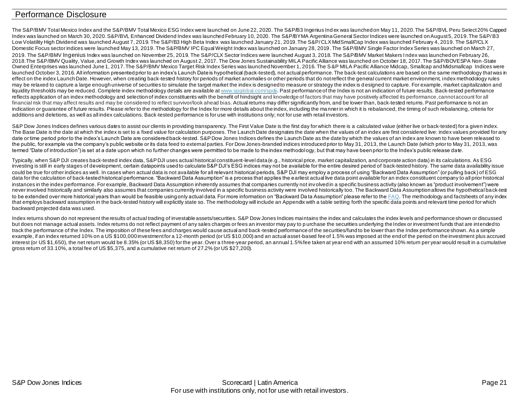### <span id="page-20-0"></span>Performance Disclosure

The S&P/BMV Total Mexico Index and the S&P/BMV Total Mexico ESG Index were launched on June 22, 2020. The S&P/B3 Ingenius Ind ex was launched on May 11, 2020. The S&P/BVL Peru Select 20% Capped Index was launched on March 30, 2020. S&P/BVL Enhanced Dividend Index was launched February 10, 2020. The S&P/BYMA Argentina General Sector Indices were launched on August 5, 2019. The S&P/B3 Low Volatility High Dividend was launched August 7, 2019. The S&P/B3 High Beta Index was launched January 21, 2019. The S&P/CLX MidSmallCap Index was launched February 4, 2019. The S&P/CLX Domestic Focus sector indices were launched May 13, 2019. The S&P/BMV IPC Equal Weight Index was launched on January 28, 2019. The S&P/BMV Single Factor Index Series was launched on March 27, 2019. The S&P/BMV Ingenius Index was launched on November 25, 2019. The S&P/CLX Sector Indices were launched August 3, 2018. The S&P/BMV Market Makers I ndex was launched on February 26, 2018.The S&P/BMV Quality, Value, and Growth Index was launched on August 2, 2017. The Dow Jones Sustainability MILA Pacific Alliance was launched on October 18, 2017. The S&P/BOVESPA Non -State Owned Enterprises was launched June 1, 2017. The S&P/BMV Mexico Target Risk Index Series was launched November 1, 2016. The S&P MILA Pacific Alliance Midcap, Smallcap and Midsmallcap Indices were launched October 3, 2016. All information presented prior to an index's Launch Date is hypothetical (back-tested), not actual performance. The back-test calculations are based on the same methodology that was in effect on the index Launch Date. However, when creating back-tested history for periods of market anomalies or other periods that do not reflect the general current market environment, index methodology rules may be relaxed to capture a large enough universe of securities to simulate the target market the index is designed to measure or strategy the index is designed to capture. For example, market capitalization and liquidity thresholds may be reduced. Complete index methodology details are available [at www.spglobal.com/spdji](http://www.spglobal.com/spdji/en?utm_source=pdf_brochure). Past performance of the Index is not an indication of future results. Back-tested performance reflects application of an index methodology and selection of index constituents with the benefit of hindsight and knowledge of factors that may have positively affected its performance, cannot account for all financial risk that may affect results and may be considered to reflect survivor/look ahead bias. Actual returns may differ significantly from, and be lower than, back-tested returns. Past performance is not an indication or guarantee of future results. Please refer to the methodology for the Index for more details about the index, including the manner in which it is rebalanced, the timing of such rebalancing, criteria for additions and deletions, as well as all index calculations. Back-tested performance is for use with institutions only; not for use with retail investors.

S&P Dow Jones Indices defines various dates to assist our clients in providing transparency. The First Value Date is the first day for which there is a calculated value (either live or back-tested) for a given index. The Base Date is the date at which the index is set to a fixed value for calculation purposes. The Launch Date designates the date when the values of an index are first considered live: index values provided for any date or time period prior to the index's Launch Date are considered back-tested. S&P Dow Jones Indices defines the Launch Date as the date by which the values of an index are known to have been released to the public, for example via the company's public website or its data feed to external parties. For Dow Jones-branded indices introduced prior to May 31, 2013, the Launch Date (which prior to May 31, 2013, was termed "Date of introduction") is set at a date upon which no further changes were permitted to be made to the index methodology, but that may have been prior to the Index's public release date.

Typically, when S&P DJI creates back-tested index data, S&P DJI uses actual historical constituent-level data (e.g., historical price, market capitalization, and corporate action data) in its calculations. As ESG investing is still in early stages of development, certain datapoints used to calculate S&P DJI's ESG indices may not be available for the entire desired period of back-tested history. The same data availability issue could be true for other indices as well. In cases when actual data is not available for all relevant historical periods, S&P DJI may employ a process of using "Backward Data Assumption" (or pulling back) of ESG data for the calculation of back-tested historical performance. "Backward Data Assumption" is a process that applies the earliest actual live data point available for an index constituent company to all prior historical instances in the index performance. For example, Backward Data Assumption inherently assumes that companies currently not involved in a specific business activity (also known as "product involvement") were never involved historically and similarly also assumes that companies currently involved in a specific business activity were involved historically too. The Backward Data Assumption allows the hypothetical back-test to be extended over more historical years than would be feasible using only actual data. For more information on "Backward Da ta Assumption" please refer to th[e FAQ](https://www.spglobal.com/spdji/en/education/article/faq-esg-back-testing-backward-data-assumption-overview/?utm_source=pdf_brochure). The methodology and factsheets of any index that employs backward assumption in the back-tested history will explicitly state so. The methodology will include an Appendix with a table setting forth the specific data points and relevant time period for which backward projected data was used.

Index returns shown do not represent the results of actual trading of investable assets/securities. S&P Dow Jones Indices maintains the index and calculates the index levels and performance shown or discussed but does not manage actual assets. Index returns do not reflect payment of any sales charges or fees an investor may pay to p urchase the securities underlying the Index or investment funds that are intended to track the performance of the Index. The imposition of these fees and charges would cause actual and back-tested performance of the securities/fund to be lower than the Index performance shown. As a simple example, if an index returned 10% on a US \$100,000 investment for a 12-month period (or US \$10,000) and an actual asset-based fee of 1.5% was imposed at the end of the period on the investment plus accrued interest (or US \$1,650), the net return would be 8.35% (or US \$8,350) for the year. Over a three-year period, an annual 1.5% fee taken at year end with an assumed 10% return per year would result in a cumulative gross return of 33.10%, a total fee of US \$5,375, and a cumulative net return of 27.2% (or US \$27,200).